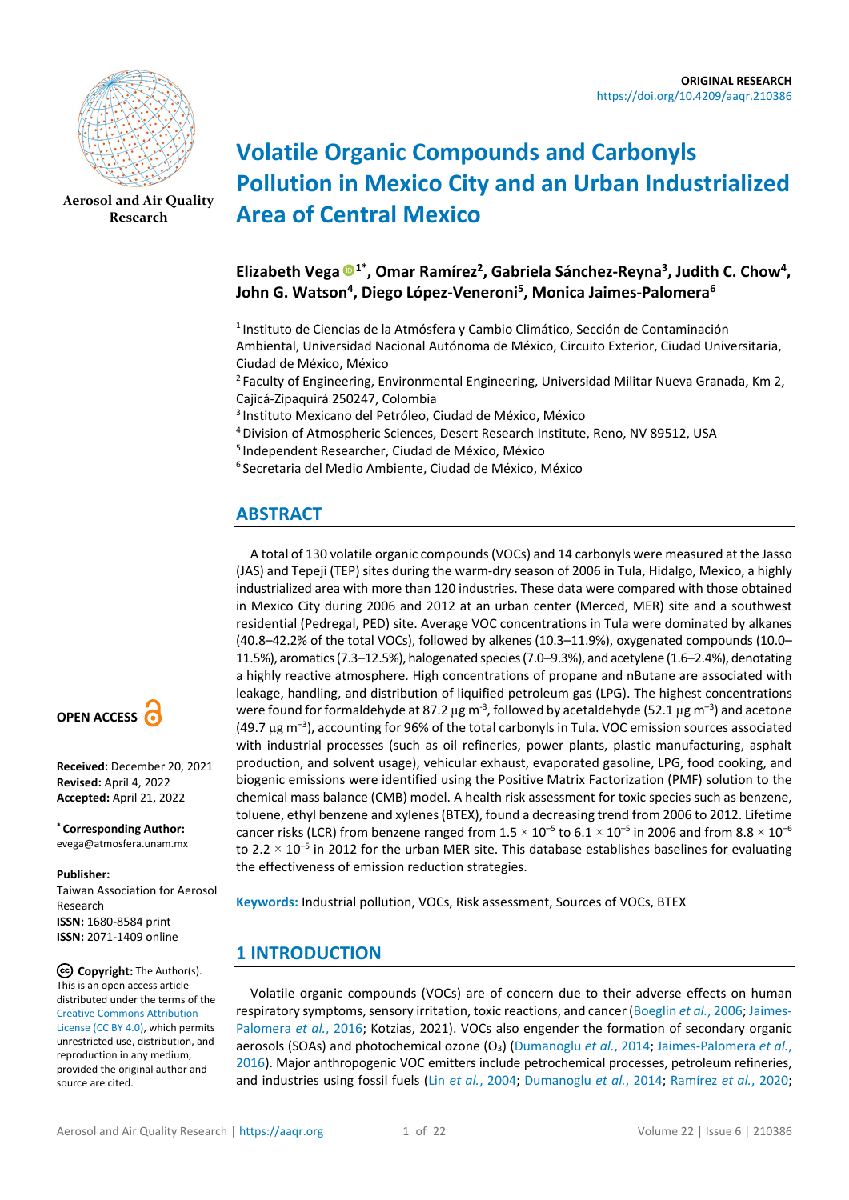

**[Aerosol and Air Quality](https://aaqr.org/)  [Research](https://aaqr.org/)**

# **Volatile Organic Compounds and Carbonyls Pollution in Mexico City and an Urban Industrialized Area of Central Mexico**

## **Elizabeth Vega 1\*, Omar Ramírez2, Gabriela Sánchez-Reyna3 , Judith C. Chow4, John G. Watson4, Diego López-Veneroni5 , Monica Jaimes-Palomera6**

1 Instituto de Ciencias de la Atmósfera y Cambio Climático, Sección de Contaminación Ambiental, Universidad Nacional Autónoma de México, Circuito Exterior, Ciudad Universitaria, Ciudad de México, México

<sup>2</sup> Faculty of Engineering, Environmental Engineering, Universidad Militar Nueva Granada, Km 2, Cajicá-Zipaquirá 250247, Colombia

3 Instituto Mexicano del Petróleo, Ciudad de México, México

4 Division of Atmospheric Sciences, Desert Research Institute, Reno, NV 89512, USA

5 Independent Researcher, Ciudad de México, México

6 Secretaria del Medio Ambiente, Ciudad de México, México

# **ABSTRACT**

A total of 130 volatile organic compounds (VOCs) and 14 carbonyls were measured at the Jasso (JAS) and Tepeji (TEP) sites during the warm-dry season of 2006 in Tula, Hidalgo, Mexico, a highly industrialized area with more than 120 industries. These data were compared with those obtained in Mexico City during 2006 and 2012 at an urban center (Merced, MER) site and a southwest residential (Pedregal, PED) site. Average VOC concentrations in Tula were dominated by alkanes (40.8–42.2% of the total VOCs), followed by alkenes (10.3–11.9%), oxygenated compounds (10.0– 11.5%), aromatics (7.3–12.5%), halogenated species (7.0–9.3%), and acetylene (1.6–2.4%), denotating a highly reactive atmosphere. High concentrations of propane and nButane are associated with leakage, handling, and distribution of liquified petroleum gas (LPG). The highest concentrations were found for formaldehyde at 87.2  $\mu$ g m<sup>-3</sup>, followed by acetaldehyde (52.1  $\mu$ g m<sup>-3</sup>) and acetone  $(49.7 \text{ µg m}^{-3})$ , accounting for 96% of the total carbonyls in Tula. VOC emission sources associated with industrial processes (such as oil refineries, power plants, plastic manufacturing, asphalt production, and solvent usage), vehicular exhaust, evaporated gasoline, LPG, food cooking, and biogenic emissions were identified using the Positive Matrix Factorization (PMF) solution to the chemical mass balance (CMB) model. A health risk assessment for toxic species such as benzene, toluene, ethyl benzene and xylenes (BTEX), found a decreasing trend from 2006 to 2012. Lifetime cancer risks (LCR) from benzene ranged from  $1.5 \times 10^{-5}$  to  $6.1 \times 10^{-5}$  in 2006 and from  $8.8 \times 10^{-6}$ to 2.2  $\times$  10<sup>-5</sup> in 2012 for the urban MER site. This database establishes baselines for evaluating the effectiveness of emission reduction strategies.

**Keywords:** Industrial pollution, VOCs, Risk assessment, Sources of VOCs, BTEX

# **1 INTRODUCTION**

Volatile organic compounds (VOCs) are of concern due to their adverse effects on human respiratory symptoms, sensory irritation, toxic reactions, and cancer [\(Boeglin](#page-16-0) *et al.*, 2006[; Jaimes-](#page-18-0)[Palomera](#page-18-0) *et al.*, 2016; Kotzias, 2021). VOCs also engender the formation of secondary organic aerosols (SOAs) and photochemical ozone (O<sub>3</sub>) [\(Dumanoglu](#page-17-0) *et al.*, 2014; [Jaimes-Palomera](#page-18-0) *et al.*, [2016\)](#page-18-0). Major anthropogenic VOC emitters include petrochemical processes, petroleum refineries, and industries using fossil fuels (Lin *et al.*[, 2004;](#page-19-0) [Dumanoglu](#page-17-0) *et al.*, 2014; [Ramírez](#page-19-1) *et al.*, 2020;



**Received:** December 20, 2021 **Revised:** April 4, 2022 **Accepted:** April 21, 2022

**\* Corresponding Author:**  evega@atmosfera.unam.mx

#### **Publisher:**

Taiwan Association for Aerosol Research **ISSN:** 1680-8584 print **ISSN:** 2071-1409 online

**Copyright:** The Author(s). This is an open access article distributed under the terms of the [Creative Commons Attribution](https://creativecommons.org/licenses/by/4.0/)  [License \(CC BY 4.0\),](https://creativecommons.org/licenses/by/4.0/) which permits unrestricted use, distribution, and reproduction in any medium, provided the original author and source are cited.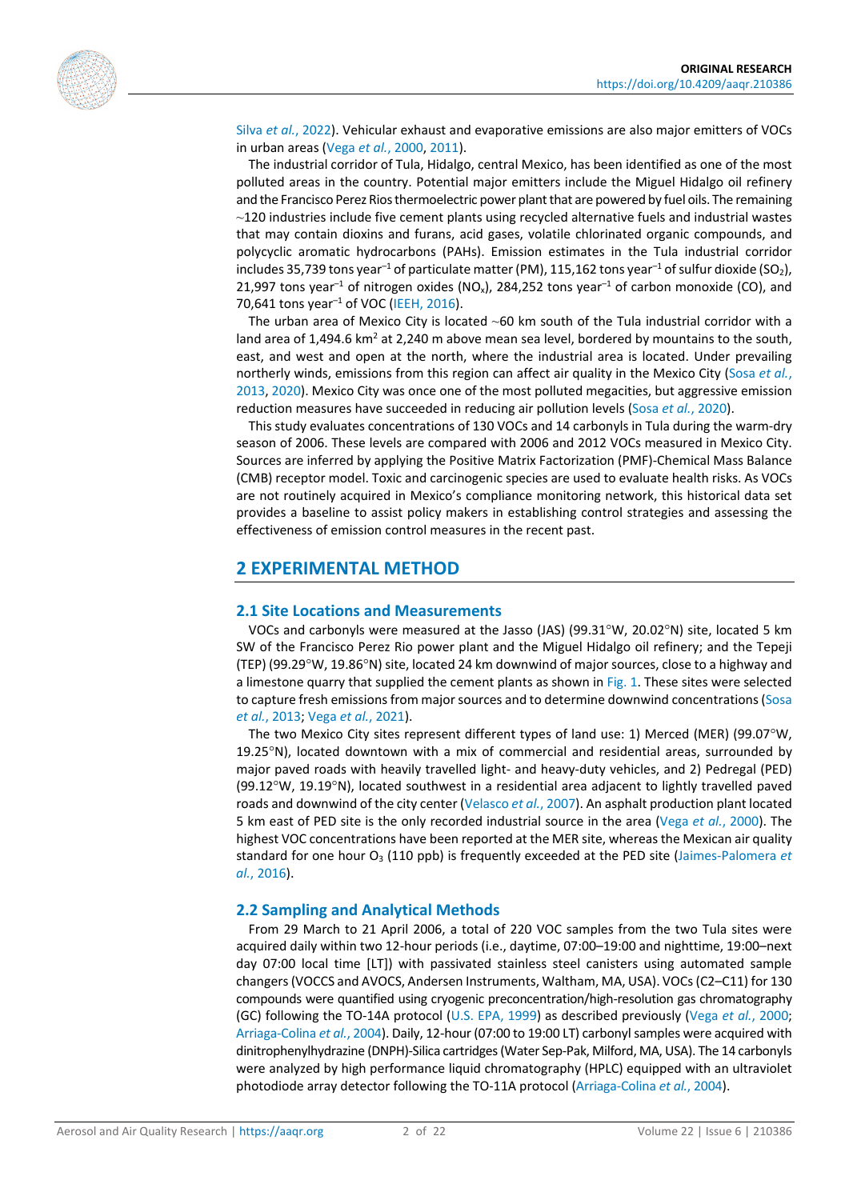

Silva *et al.*[, 2022\)](#page-20-0). Vehicular exhaust and evaporative emissions are also major emitters of VOCs in urban areas (Vega *et al.*[, 2000,](#page-20-1) [2011\)](#page-20-2).

The industrial corridor of Tula, Hidalgo, central Mexico, has been identified as one of the most polluted areas in the country. Potential major emitters include the Miguel Hidalgo oil refinery and the Francisco Perez Rios thermoelectric power plant that are powered by fuel oils. The remaining  $\sim$ 120 industries include five cement plants using recycled alternative fuels and industrial wastes that may contain dioxins and furans, acid gases, volatile chlorinated organic compounds, and polycyclic aromatic hydrocarbons (PAHs). Emission estimates in the Tula industrial corridor includes 35,739 tons year<sup>-1</sup> of particulate matter (PM), 115,162 tons year<sup>-1</sup> of sulfur dioxide (SO<sub>2</sub>), 21,997 tons year<sup>-1</sup> of nitrogen oxides (NO<sub>x</sub>), 284,252 tons year<sup>-1</sup> of carbon monoxide (CO), and 70,641 tons year<sup>-1</sup> of VOC [\(IEEH, 2016\)](#page-18-1).

The urban area of Mexico City is located  $~60$  km south of the Tula industrial corridor with a land area of  $1,494.6$  km<sup>2</sup> at  $2,240$  m above mean sea level, bordered by mountains to the south, east, and west and open at the north, where the industrial area is located. Under prevailing northerly winds, emissions from this region can affect air quality in the Mexico City [\(Sosa](#page-20-3) *et al.*, [2013,](#page-20-3) [2020\)](#page-20-4). Mexico City was once one of the most polluted megacities, but aggressive emission reduction measures have succeeded in reducing air pollution levels (Sosa *et al.*[, 2020\)](#page-20-4).

This study evaluates concentrations of 130 VOCs and 14 carbonyls in Tula during the warm-dry season of 2006. These levels are compared with 2006 and 2012 VOCs measured in Mexico City. Sources are inferred by applying the Positive Matrix Factorization (PMF)-Chemical Mass Balance (CMB) receptor model. Toxic and carcinogenic species are used to evaluate health risks. As VOCs are not routinely acquired in Mexico's compliance monitoring network, this historical data set provides a baseline to assist policy makers in establishing control strategies and assessing the effectiveness of emission control measures in the recent past.

### **2 EXPERIMENTAL METHOD**

#### **2.1 Site Locations and Measurements**

VOCs and carbonyls were measured at the Jasso (JAS) (99.31°W, 20.02°N) site, located 5 km SW of the Francisco Perez Rio power plant and the Miguel Hidalgo oil refinery; and the Tepeji (TEP) (99.29°W, 19.86°N) site, located 24 km downwind of major sources, close to a highway and a limestone quarry that supplied the cement plants as shown i[n Fig. 1.](#page-2-0) These sites were selected to capture fresh emissions from major sources and to determine downwind concentrations [\(Sosa](#page-20-3)  *et al.*[, 2013;](#page-20-3) Vega *et al.*[, 2021\)](#page-20-5).

The two Mexico City sites represent different types of land use: 1) Merced (MER) (99.07°W, 19.25°N), located downtown with a mix of commercial and residential areas, surrounded by major paved roads with heavily travelled light- and heavy-duty vehicles, and 2) Pedregal (PED) (99.12°W, 19.19°N), located southwest in a residential area adjacent to lightly travelled paved roads and downwind of the city center [\(Velasco](#page-20-6) *et al.*, 2007). An asphalt production plant located 5 km east of PED site is the only recorded industrial source in the area (Vega *et al.*[, 2000\)](#page-20-1). The highest VOC concentrations have been reported at the MER site, whereas the Mexican air quality standard for one hour O<sub>3</sub> (110 ppb) is frequently exceeded at the PED site [\(Jaimes-Palomera](#page-18-0) *et al.*[, 2016\)](#page-18-0).

#### **2.2 Sampling and Analytical Methods**

From 29 March to 21 April 2006, a total of 220 VOC samples from the two Tula sites were acquired daily within two 12-hour periods (i.e., daytime, 07:00–19:00 and nighttime, 19:00–next day 07:00 local time [LT]) with passivated stainless steel canisters using automated sample changers (VOCCS and AVOCS, Andersen Instruments, Waltham, MA, USA). VOCs (C2–C11) for 130 compounds were quantified using cryogenic preconcentration/high-resolution gas chromatography (GC) following the TO-14A protocol (U.S. [EPA, 1999\)](#page-20-7) as described previously (Vega *et al.*[, 2000;](#page-20-1) [Arriaga-Colina](#page-16-1) *et al.*, 2004). Daily, 12-hour (07:00 to 19:00 LT) carbonyl samples were acquired with dinitrophenylhydrazine (DNPH)-Silica cartridges (Water Sep-Pak, Milford, MA, USA). The 14 carbonyls were analyzed by high performance liquid chromatography (HPLC) equipped with an ultraviolet photodiode array detector following the TO-11A protocol [\(Arriaga-Colina](#page-16-1) *et al.*, 2004).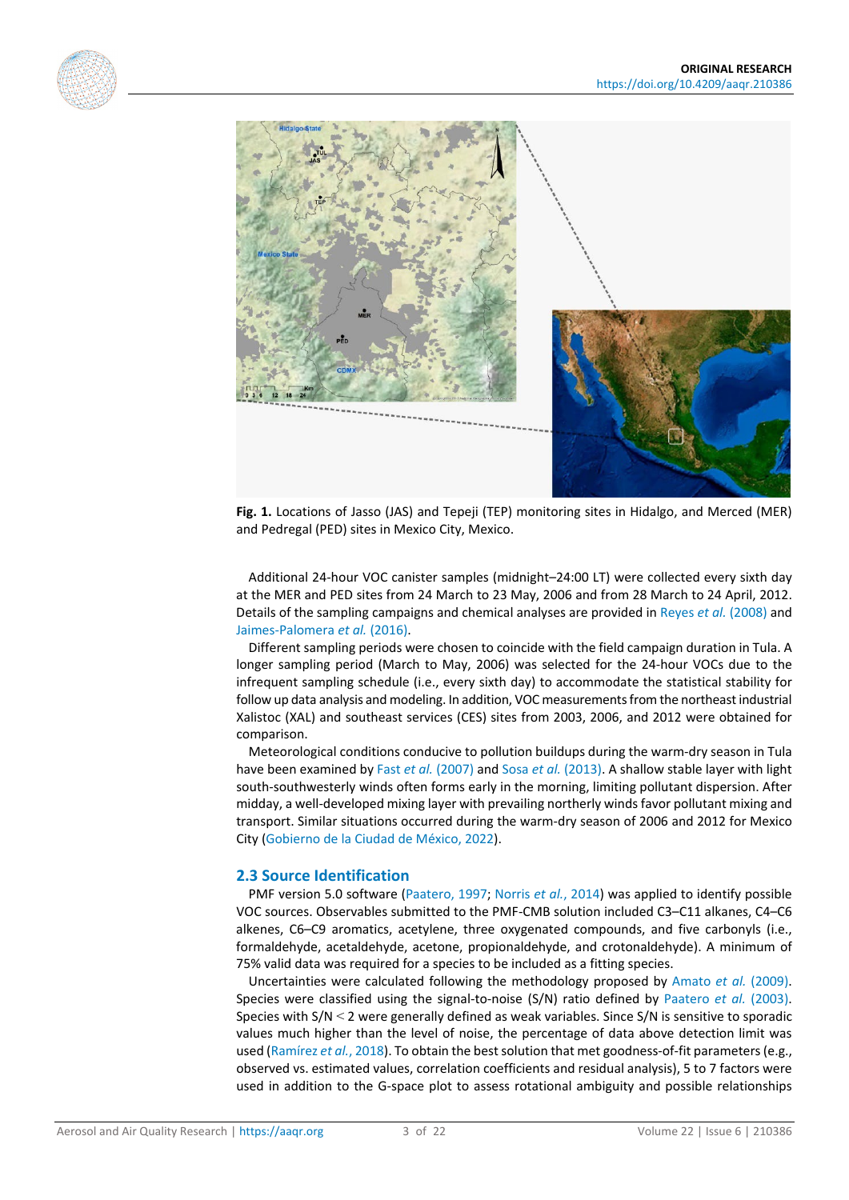<span id="page-2-0"></span>



**Fig. 1.** Locations of Jasso (JAS) and Tepeji (TEP) monitoring sites in Hidalgo, and Merced (MER) and Pedregal (PED) sites in Mexico City, Mexico.

Additional 24-hour VOC canister samples (midnight–24:00 LT) were collected every sixth day at the MER and PED sites from 24 March to 23 May, 2006 and from 28 March to 24 April, 2012. Details of the sampling campaigns and chemical analyses are provided in [Reyes](#page-20-8) *et al.* (2008) and [Jaimes-Palomera](#page-18-0) *et al.* (2016).

Different sampling periods were chosen to coincide with the field campaign duration in Tula. A longer sampling period (March to May, 2006) was selected for the 24-hour VOCs due to the infrequent sampling schedule (i.e., every sixth day) to accommodate the statistical stability for follow up data analysis and modeling. In addition, VOC measurements from the northeast industrial Xalistoc (XAL) and southeast services (CES) sites from 2003, 2006, and 2012 were obtained for comparison.

Meteorological conditions conducive to pollution buildups during the warm-dry season in Tula have been examined by Fast *et al.* [\(2007\)](#page-17-1) and Sosa *et al.* [\(2013\).](#page-20-3) A shallow stable layer with light south-southwesterly winds often forms early in the morning, limiting pollutant dispersion. After midday, a well-developed mixing layer with prevailing northerly winds favor pollutant mixing and transport. Similar situations occurred during the warm-dry season of 2006 and 2012 for Mexico City [\(Gobierno de la Ciudad de México, 2022\)](#page-17-2).

#### **2.3 Source Identification**

PMF version 5.0 software [\(Paatero, 1997;](#page-19-2) [Norris](#page-19-3) *et al.*, 2014) was applied to identify possible VOC sources. Observables submitted to the PMF-CMB solution included C3–C11 alkanes, C4–C6 alkenes, C6–C9 aromatics, acetylene, three oxygenated compounds, and five carbonyls (i.e., formaldehyde, acetaldehyde, acetone, propionaldehyde, and crotonaldehyde). A minimum of 75% valid data was required for a species to be included as a fitting species.

Uncertainties were calculated following the methodology proposed by [Amato](#page-16-2) *et al.* (2009). Species were classified using the signal-to-noise (S/N) ratio defined by [Paatero](#page-19-4) *et al.* (2003). Species with S/N < 2 were generally defined as weak variables. Since S/N is sensitive to sporadic values much higher than the level of noise, the percentage of data above detection limit was used [\(Ramírez](#page-19-5) *et al.*, 2018). To obtain the best solution that met goodness-of-fit parameters (e.g., observed vs. estimated values, correlation coefficients and residual analysis), 5 to 7 factors were used in addition to the G-space plot to assess rotational ambiguity and possible relationships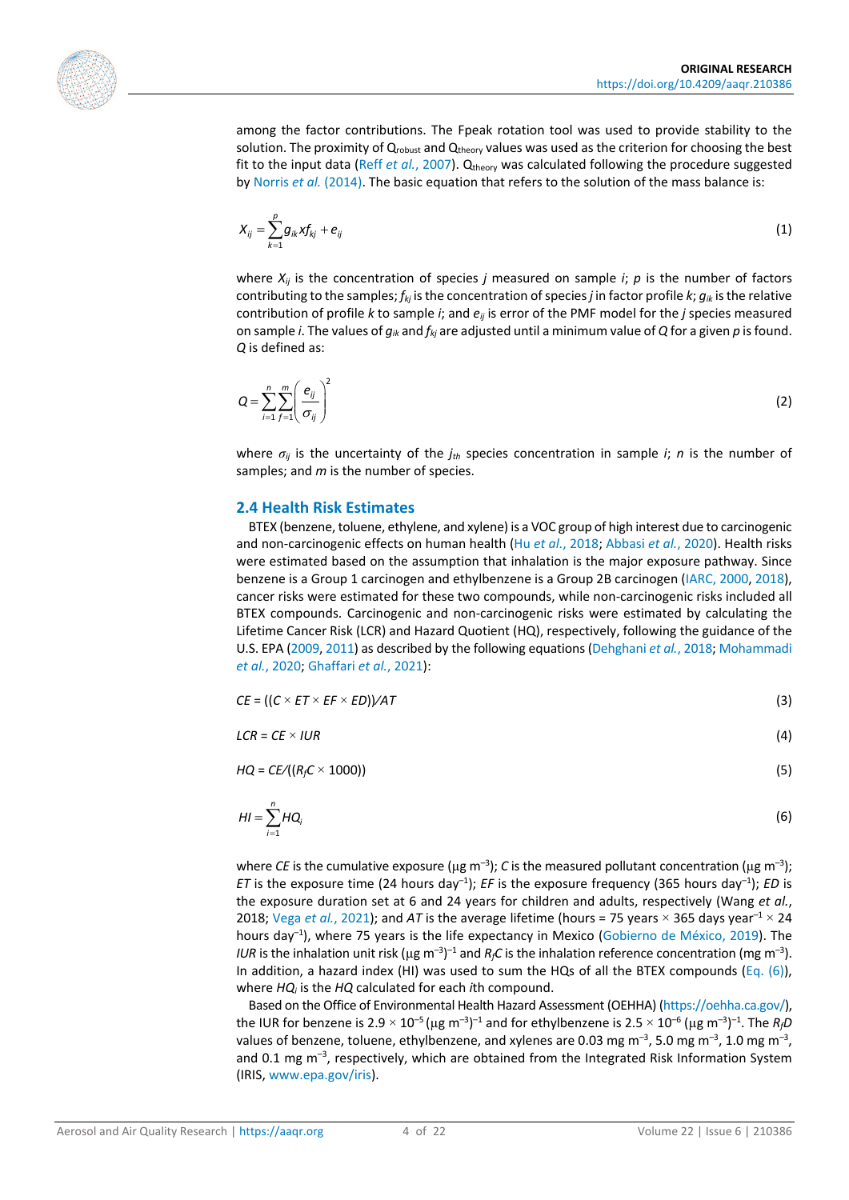

among the factor contributions. The Fpeak rotation tool was used to provide stability to the solution. The proximity of Qrobust and Qtheory values was used as the criterion for choosing the best fit to the input data (Reff *et al.*[, 2007\)](#page-20-9). Q<sub>theory</sub> was calculated following the procedure suggested b[y Norris](#page-19-3) *et al.* (2014). The basic equation that refers to the solution of the mass balance is:

$$
X_{ij}=\sum_{k=1}^{\rho}g_{ik}xf_{kj}+e_{ij}
$$
\n(1)

where  $X_{ij}$  is the concentration of species *j* measured on sample *i*;  $p$  is the number of factors contributing to the samples; *fkj* is the concentration of species *j* in factor profile *k*; *gik* is the relative contribution of profile *k* to sample *i*; and *eij* is error of the PMF model for the *j* species measured on sample *i*. The values of *gik* and *fkj* are adjusted until a minimum value of *Q* for a given *p* is found. *Q* is defined as:

$$
Q = \sum_{i=1}^{n} \sum_{f=1}^{m} \left( \frac{e_{ij}}{\sigma_{ij}} \right)^2
$$
 (2)

where *σij* is the uncertainty of the *jth* species concentration in sample *i*; *n* is the number of samples; and *m* is the number of species.

#### **2.4 Health Risk Estimates**

BTEX (benzene, toluene, ethylene, and xylene) is a VOC group of high interest due to carcinogenic and non-carcinogenic effects on human health (Hu *et al.*[, 2018;](#page-18-2) [Abbasi](#page-16-3) *et al.*, 2020). Health risks were estimated based on the assumption that inhalation is the major exposure pathway. Since benzene is a Group 1 carcinogen and ethylbenzene is a Group 2B carcinogen [\(IARC, 2000,](#page-18-3) [2018\)](#page-18-4), cancer risks were estimated for these two compounds, while non-carcinogenic risks included all BTEX compounds. Carcinogenic and non-carcinogenic risks were estimated by calculating the Lifetime Cancer Risk (LCR) and Hazard Quotient (HQ), respectively, following the guidance of the U.S. EPA [\(2009,](#page-20-10) [2011\)](#page-20-11) as described by the following equations [\(Dehghani](#page-17-3) *et al.*, 2018[; Mohammadi](#page-19-6)  *et al.*[, 2020;](#page-19-6) [Ghaffari](#page-17-4) *et al.*, 2021):

$$
CE = ((C \times ET \times EF \times ED)) / AT \tag{3}
$$

$$
LCR = CE \times IUR \tag{4}
$$

<span id="page-3-0"></span> $HQ = CE/(R_fC \times 1000))$  (5)

$$
H I = \sum_{i=1}^{n} H Q_i
$$
 (6)

where *CE* is the cumulative exposure ( $\mu$ g m<sup>-3</sup>); *C* is the measured pollutant concentration ( $\mu$ g m<sup>-3</sup>); *ET* is the exposure time (24 hours day<sup>-1</sup>); *EF* is the exposure frequency (365 hours day<sup>-1</sup>); *ED* is the exposure duration set at 6 and 24 years for children and adults, respectively (Wang *et al.*, 2018; Vega *et al.*[, 2021\)](#page-20-5); and *AT* is the average lifetime (hours = 75 years  $\times$  365 days year<sup>-1</sup>  $\times$  24 hours day<sup>-1</sup>), where 75 years is the life expectancy in Mexico [\(Gobierno de México, 2019\)](#page-18-5). The *IUR* is the inhalation unit risk (µg m<sup>-3</sup>)<sup>-1</sup> and  $R_fC$  is the inhalation reference concentration (mg m<sup>-3</sup>). In addition, a hazard index (HI) was used to sum the HQs of all the BTEX compounds [\(Eq. \(6\)\)](#page-3-0), where *HQi* is the *HQ* calculated for each *i*th compound.

Based on the Office of Environmental Health Hazard Assessment (OEHHA) [\(https://oehha.ca.gov/\)](https://oehha.ca.gov/), the IUR for benzene is 2.9  $\times$  10<sup>-5</sup> (µg m<sup>-3</sup>)<sup>-1</sup> and for ethylbenzene is 2.5  $\times$  10<sup>-6</sup> (µg m<sup>-3</sup>)<sup>-1</sup>. The R<sub>f</sub>D values of benzene, toluene, ethylbenzene, and xylenes are 0.03 mg m<sup>-3</sup>, 5.0 mg m<sup>-3</sup>, 1.0 mg m<sup>-3</sup>, and 0.1 mg  $\text{m}^{-3}$ , respectively, which are obtained from the Integrated Risk Information System (IRIS[, www.epa.gov/iris\)](http://www.epa.gov/iris).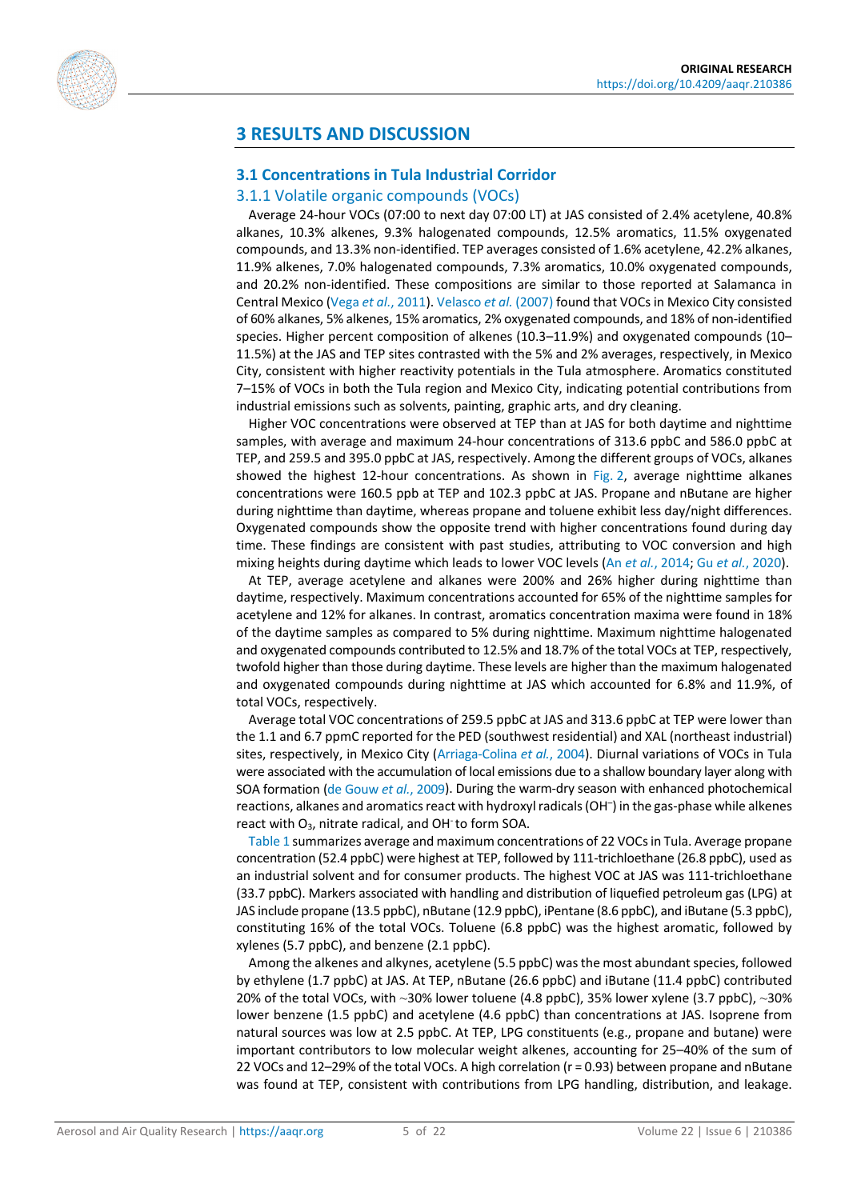

# **3 RESULTS AND DISCUSSION**

#### **3.1 Concentrations in Tula Industrial Corridor**

#### 3.1.1 Volatile organic compounds (VOCs)

Average 24-hour VOCs (07:00 to next day 07:00 LT) at JAS consisted of 2.4% acetylene, 40.8% alkanes, 10.3% alkenes, 9.3% halogenated compounds, 12.5% aromatics, 11.5% oxygenated compounds, and 13.3% non-identified. TEP averages consisted of 1.6% acetylene, 42.2% alkanes, 11.9% alkenes, 7.0% halogenated compounds, 7.3% aromatics, 10.0% oxygenated compounds, and 20.2% non-identified. These compositions are similar to those reported at Salamanca in Central Mexico (Vega *et al.*[, 2011\)](#page-20-2)[. Velasco](#page-20-6) *et al.* (2007) found that VOCs in Mexico City consisted of 60% alkanes, 5% alkenes, 15% aromatics, 2% oxygenated compounds, and 18% of non-identified species. Higher percent composition of alkenes (10.3–11.9%) and oxygenated compounds (10– 11.5%) at the JAS and TEP sites contrasted with the 5% and 2% averages, respectively, in Mexico City, consistent with higher reactivity potentials in the Tula atmosphere. Aromatics constituted 7–15% of VOCs in both the Tula region and Mexico City, indicating potential contributions from industrial emissions such as solvents, painting, graphic arts, and dry cleaning.

Higher VOC concentrations were observed at TEP than at JAS for both daytime and nighttime samples, with average and maximum 24-hour concentrations of 313.6 ppbC and 586.0 ppbC at TEP, and 259.5 and 395.0 ppbC at JAS, respectively. Among the different groups of VOCs, alkanes showed the highest 12-hour concentrations. As shown in [Fig. 2,](#page-5-0) average nighttime alkanes concentrations were 160.5 ppb at TEP and 102.3 ppbC at JAS. Propane and nButane are higher during nighttime than daytime, whereas propane and toluene exhibit less day/night differences. Oxygenated compounds show the opposite trend with higher concentrations found during day time. These findings are consistent with past studies, attributing to VOC conversion and high mixing heights during daytime which leads to lower VOC levels (An *et al.*[, 2014;](#page-16-4) Gu *et al.*[, 2020\)](#page-18-6).

At TEP, average acetylene and alkanes were 200% and 26% higher during nighttime than daytime, respectively. Maximum concentrations accounted for 65% of the nighttime samples for acetylene and 12% for alkanes. In contrast, aromatics concentration maxima were found in 18% of the daytime samples as compared to 5% during nighttime. Maximum nighttime halogenated and oxygenated compounds contributed to 12.5% and 18.7% of the total VOCs at TEP, respectively, twofold higher than those during daytime. These levels are higher than the maximum halogenated and oxygenated compounds during nighttime at JAS which accounted for 6.8% and 11.9%, of total VOCs, respectively.

Average total VOC concentrations of 259.5 ppbC at JAS and 313.6 ppbC at TEP were lower than the 1.1 and 6.7 ppmC reported for the PED (southwest residential) and XAL (northeast industrial) sites, respectively, in Mexico City [\(Arriaga-Colina](#page-16-1) *et al.*, 2004). Diurnal variations of VOCs in Tula were associated with the accumulation of local emissions due to a shallow boundary layer along with SOA formation [\(de Gouw](#page-17-5) *et al.*, 2009). During the warm-dry season with enhanced photochemical reactions, alkanes and aromatics react with hydroxyl radicals (OH– ) in the gas-phase while alkenes react with  $O_3$ , nitrate radical, and OH to form SOA.

[Table 1](#page-6-0) summarizes average and maximum concentrations of 22 VOCs in Tula. Average propane concentration (52.4 ppbC) were highest at TEP, followed by 111-trichloethane (26.8 ppbC), used as an industrial solvent and for consumer products. The highest VOC at JAS was 111-trichloethane (33.7 ppbC). Markers associated with handling and distribution of liquefied petroleum gas (LPG) at JAS include propane (13.5 ppbC), nButane (12.9 ppbC), iPentane (8.6 ppbC), and iButane (5.3 ppbC), constituting 16% of the total VOCs. Toluene (6.8 ppbC) was the highest aromatic, followed by xylenes (5.7 ppbC), and benzene (2.1 ppbC).

Among the alkenes and alkynes, acetylene (5.5 ppbC) was the most abundant species, followed by ethylene (1.7 ppbC) at JAS. At TEP, nButane (26.6 ppbC) and iButane (11.4 ppbC) contributed 20% of the total VOCs, with ~30% lower toluene (4.8 ppbC), 35% lower xylene (3.7 ppbC), ~30% lower benzene (1.5 ppbC) and acetylene (4.6 ppbC) than concentrations at JAS. Isoprene from natural sources was low at 2.5 ppbC. At TEP, LPG constituents (e.g., propane and butane) were important contributors to low molecular weight alkenes, accounting for 25–40% of the sum of 22 VOCs and 12–29% of the total VOCs. A high correlation (r = 0.93) between propane and nButane was found at TEP, consistent with contributions from LPG handling, distribution, and leakage.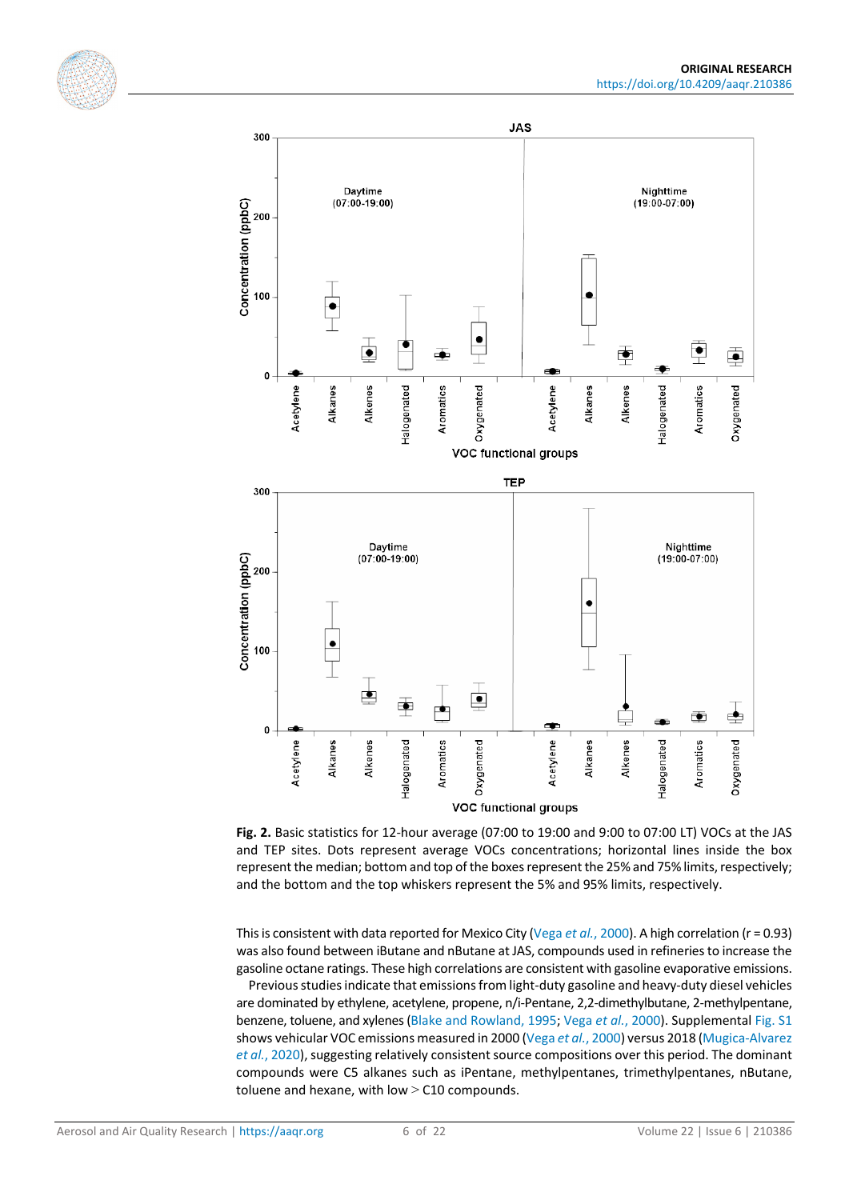



<span id="page-5-0"></span>**Fig. 2.** Basic statistics for 12-hour average (07:00 to 19:00 and 9:00 to 07:00 LT) VOCs at the JAS and TEP sites. Dots represent average VOCs concentrations; horizontal lines inside the box represent the median; bottom and top of the boxes represent the 25% and 75% limits, respectively; and the bottom and the top whiskers represent the 5% and 95% limits, respectively.

This is consistent with data reported for Mexico City (Vega *et al.*[, 2000\)](#page-20-1). A high correlation (r = 0.93) was also found between iButane and nButane at JAS, compounds used in refineries to increase the gasoline octane ratings. These high correlations are consistent with gasoline evaporative emissions.

Previous studies indicate that emissions from light-duty gasoline and heavy-duty diesel vehicles are dominated by ethylene, acetylene, propene, n/i-Pentane, 2,2-dimethylbutane, 2-methylpentane, benzene, toluene, and xylenes [\(Blake and Rowland, 1995;](#page-16-5) Vega *et al.*[, 2000\)](#page-20-1). Supplementa[l Fig.](https://doi.org/10.4209/aaqr.210386) S1 shows vehicular VOC emissions measured in 2000 (Vega *et al.*[, 2000\)](#page-20-1) versus 2018 [\(Mugica-Alvarez](#page-19-7)  *et al.*[, 2020\)](#page-19-7), suggesting relatively consistent source compositions over this period. The dominant compounds were C5 alkanes such as iPentane, methylpentanes, trimethylpentanes, nButane, toluene and hexane, with low  $>$  C10 compounds.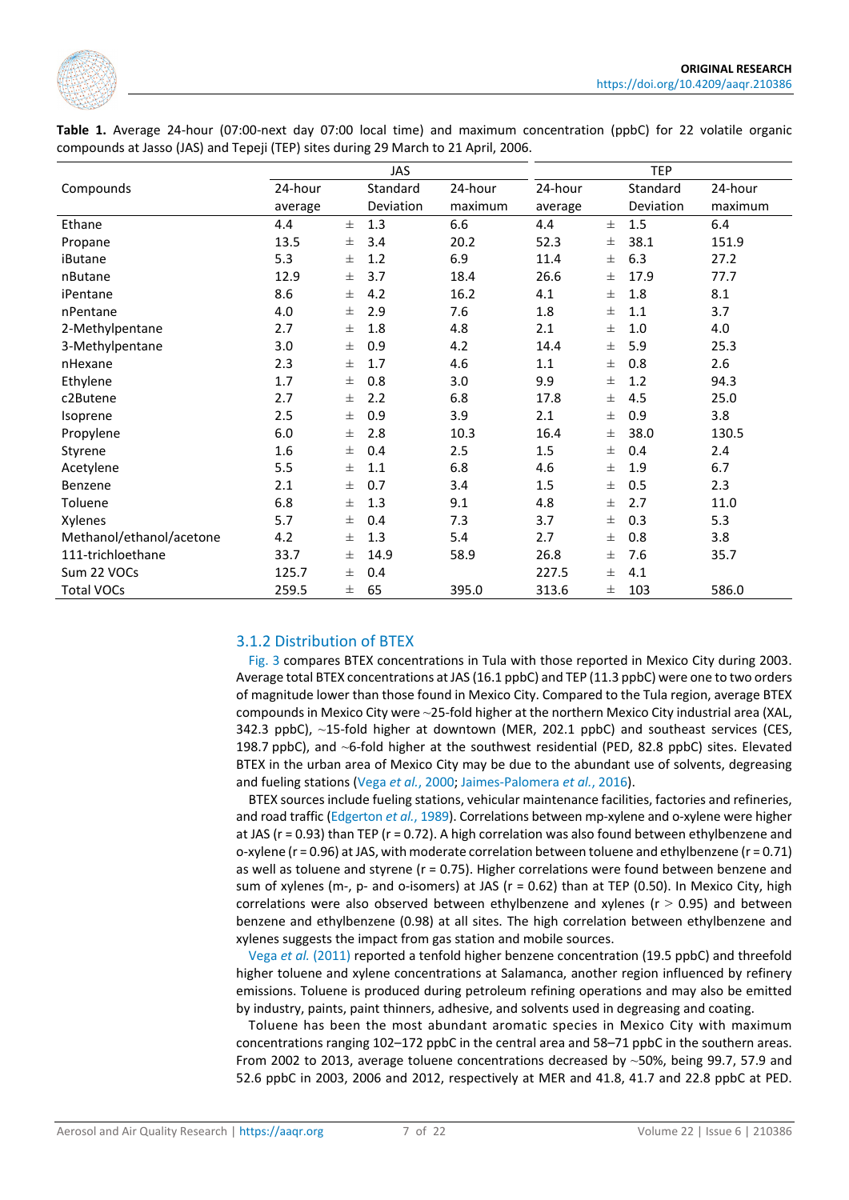

<span id="page-6-0"></span>

|                                                                                    |  |  |  |  |  |  |  |  |  | Table 1. Average 24-hour (07:00-next day 07:00 local time) and maximum concentration (ppbC) for 22 volatile organic |  |  |  |  |  |
|------------------------------------------------------------------------------------|--|--|--|--|--|--|--|--|--|---------------------------------------------------------------------------------------------------------------------|--|--|--|--|--|
| compounds at Jasso (JAS) and Tepeji (TEP) sites during 29 March to 21 April, 2006. |  |  |  |  |  |  |  |  |  |                                                                                                                     |  |  |  |  |  |

|                          |         | <b>JAS</b> |           | TEP     |         |          |                  |         |
|--------------------------|---------|------------|-----------|---------|---------|----------|------------------|---------|
| Compounds                | 24-hour |            | Standard  | 24-hour | 24-hour |          | Standard         | 24-hour |
|                          | average |            | Deviation | maximum | average |          | <b>Deviation</b> | maximum |
| Ethane                   | 4.4     | $\pm$      | 1.3       | 6.6     | 4.4     | $_{\pm}$ | 1.5              | 6.4     |
| Propane                  | 13.5    | 士          | 3.4       | 20.2    | 52.3    | 士        | 38.1             | 151.9   |
| iButane                  | 5.3     | 士          | 1.2       | 6.9     | 11.4    | $\pm$    | 6.3              | 27.2    |
| nButane                  | 12.9    | 士          | 3.7       | 18.4    | 26.6    | 士        | 17.9             | 77.7    |
| iPentane                 | 8.6     | 士          | 4.2       | 16.2    | 4.1     | $\pm$    | 1.8              | 8.1     |
| nPentane                 | 4.0     | 土          | 2.9       | 7.6     | 1.8     | $\pm$    | 1.1              | 3.7     |
| 2-Methylpentane          | 2.7     | $\pm$      | 1.8       | 4.8     | 2.1     | $_{\pm}$ | 1.0              | 4.0     |
| 3-Methylpentane          | 3.0     | 士          | 0.9       | 4.2     | 14.4    | 士        | 5.9              | 25.3    |
| nHexane                  | 2.3     | 士          | 1.7       | 4.6     | 1.1     | $_{\pm}$ | 0.8              | 2.6     |
| Ethylene                 | 1.7     | $\pm$      | 0.8       | 3.0     | 9.9     | $_{\pm}$ | 1.2              | 94.3    |
| c2Butene                 | 2.7     | $\pm$      | 2.2       | 6.8     | 17.8    | $_{\pm}$ | 4.5              | 25.0    |
| Isoprene                 | 2.5     | $\pm$      | 0.9       | 3.9     | 2.1     | $_{\pm}$ | 0.9              | 3.8     |
| Propylene                | 6.0     | 士          | 2.8       | 10.3    | 16.4    | $_{\pm}$ | 38.0             | 130.5   |
| Styrene                  | 1.6     | 士          | 0.4       | 2.5     | $1.5\,$ | 士        | 0.4              | 2.4     |
| Acetylene                | 5.5     | $\pm$      | 1.1       | 6.8     | 4.6     | 士        | 1.9              | 6.7     |
| Benzene                  | 2.1     | $_{\pm}$   | 0.7       | 3.4     | 1.5     | 士        | 0.5              | 2.3     |
| Toluene                  | 6.8     | $\pm$      | 1.3       | 9.1     | 4.8     | 士        | 2.7              | 11.0    |
| Xylenes                  | 5.7     | 士          | 0.4       | 7.3     | 3.7     | Ŧ.       | 0.3              | 5.3     |
| Methanol/ethanol/acetone | 4.2     | 士          | 1.3       | 5.4     | 2.7     | 士        | 0.8              | 3.8     |
| 111-trichloethane        | 33.7    | 士          | 14.9      | 58.9    | 26.8    | Ŧ.       | 7.6              | 35.7    |
| Sum 22 VOCs              | 125.7   | 士          | 0.4       |         | 227.5   | Ŧ.       | 4.1              |         |
| <b>Total VOCs</b>        | 259.5   | 士          | 65        | 395.0   | 313.6   | 士        | 103              | 586.0   |

#### 3.1.2 Distribution of BTEX

[Fig.](#page-7-0) 3 compares BTEX concentrations in Tula with those reported in Mexico City during 2003. Average total BTEX concentrations at JAS (16.1 ppbC) and TEP (11.3 ppbC) were one to two orders of magnitude lower than those found in Mexico City. Compared to the Tula region, average BTEX compounds in Mexico City were ~25-fold higher at the northern Mexico City industrial area (XAL, 342.3 ppbC), ~15-fold higher at downtown (MER, 202.1 ppbC) and southeast services (CES, 198.7 ppbC), and ~6-fold higher at the southwest residential (PED, 82.8 ppbC) sites. Elevated BTEX in the urban area of Mexico City may be due to the abundant use of solvents, degreasing and fueling stations (Vega *et al.*[, 2000;](#page-20-1) [Jaimes-Palomera](#page-18-0) *et al.*, 2016).

BTEX sources include fueling stations, vehicular maintenance facilities, factories and refineries, and road traffic [\(Edgerton](#page-17-6) *et al.*, 1989). Correlations between mp-xylene and o-xylene were higher at JAS (r = 0.93) than TEP (r = 0.72). A high correlation was also found between ethylbenzene and o-xylene ( $r = 0.96$ ) at JAS, with moderate correlation between toluene and ethylbenzene ( $r = 0.71$ ) as well as toluene and styrene (r = 0.75). Higher correlations were found between benzene and sum of xylenes (m-, p- and o-isomers) at JAS (r = 0.62) than at TEP (0.50). In Mexico City, high correlations were also observed between ethylbenzene and xylenes ( $r > 0.95$ ) and between benzene and ethylbenzene (0.98) at all sites. The high correlation between ethylbenzene and xylenes suggests the impact from gas station and mobile sources.

Vega *et al.* [\(2011\)](#page-20-2) reported a tenfold higher benzene concentration (19.5 ppbC) and threefold higher toluene and xylene concentrations at Salamanca, another region influenced by refinery emissions. Toluene is produced during petroleum refining operations and may also be emitted by industry, paints, paint thinners, adhesive, and solvents used in degreasing and coating.

Toluene has been the most abundant aromatic species in Mexico City with maximum concentrations ranging 102–172 ppbC in the central area and 58–71 ppbC in the southern areas. From 2002 to 2013, average toluene concentrations decreased by  $~50\%$ , being 99.7, 57.9 and 52.6 ppbC in 2003, 2006 and 2012, respectively at MER and 41.8, 41.7 and 22.8 ppbC at PED.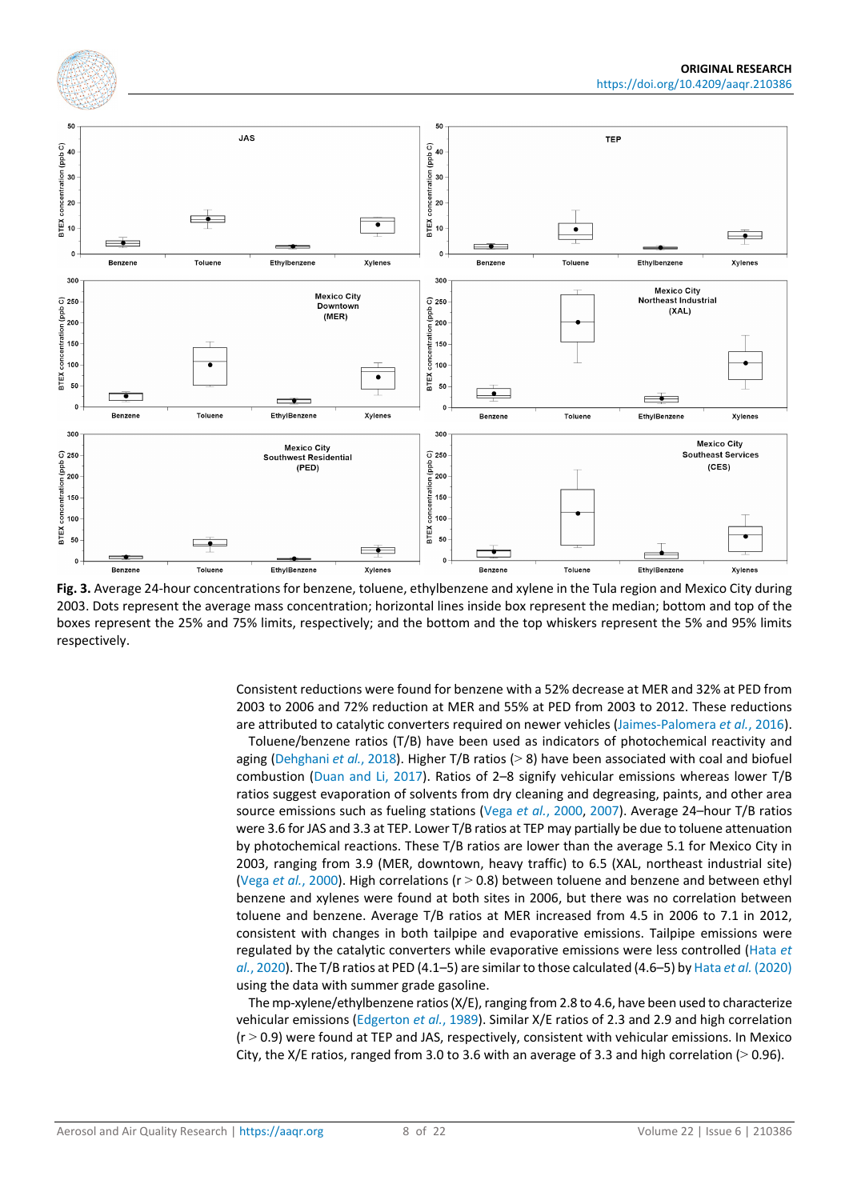<span id="page-7-0"></span>

**Fig. 3.** Average 24-hour concentrations for benzene, toluene, ethylbenzene and xylene in the Tula region and Mexico City during 2003. Dots represent the average mass concentration; horizontal lines inside box represent the median; bottom and top of the boxes represent the 25% and 75% limits, respectively; and the bottom and the top whiskers represent the 5% and 95% limits respectively.

Consistent reductions were found for benzene with a 52% decrease at MER and 32% at PED from 2003 to 2006 and 72% reduction at MER and 55% at PED from 2003 to 2012. These reductions are attributed to catalytic converters required on newer vehicles [\(Jaimes-Palomera](#page-18-0) *et al.*, 2016).

Toluene/benzene ratios (T/B) have been used as indicators of photochemical reactivity and aging [\(Dehghani](#page-17-3) *et al.*, 2018). Higher T/B ratios (> 8) have been associated with coal and biofuel combustion [\(Duan and Li, 2017\)](#page-17-7). Ratios of 2–8 signify vehicular emissions whereas lower T/B ratios suggest evaporation of solvents from dry cleaning and degreasing, paints, and other area source emissions such as fueling stations (Vega *et al.*[, 2000,](#page-20-1) [2007\)](#page-20-12). Average 24–hour T/B ratios were 3.6 for JAS and 3.3 at TEP. Lower T/B ratios at TEP may partially be due to toluene attenuation by photochemical reactions. These T/B ratios are lower than the average 5.1 for Mexico City in 2003, ranging from 3.9 (MER, downtown, heavy traffic) to 6.5 (XAL, northeast industrial site) (Vega *et al.*[, 2000\)](#page-20-1). High correlations (r > 0.8) between toluene and benzene and between ethyl benzene and xylenes were found at both sites in 2006, but there was no correlation between toluene and benzene. Average T/B ratios at MER increased from 4.5 in 2006 to 7.1 in 2012, consistent with changes in both tailpipe and evaporative emissions. Tailpipe emissions were regulated by the catalytic converters while evaporative emissions were less controlled [\(Hata](#page-18-7) *et al.*[, 2020\)](#page-18-7). The T/B ratios at PED (4.1–5) are similar to those calculated (4.6–5) by Hata *et al.* [\(2020\)](#page-18-7) using the data with summer grade gasoline.

The mp-xylene/ethylbenzene ratios (X/E), ranging from 2.8 to 4.6, have been used to characterize vehicular emissions [\(Edgerton](#page-17-6) *et al.*, 1989). Similar X/E ratios of 2.3 and 2.9 and high correlation  $(r > 0.9)$  were found at TEP and JAS, respectively, consistent with vehicular emissions. In Mexico City, the X/E ratios, ranged from 3.0 to 3.6 with an average of 3.3 and high correlation ( $>$  0.96).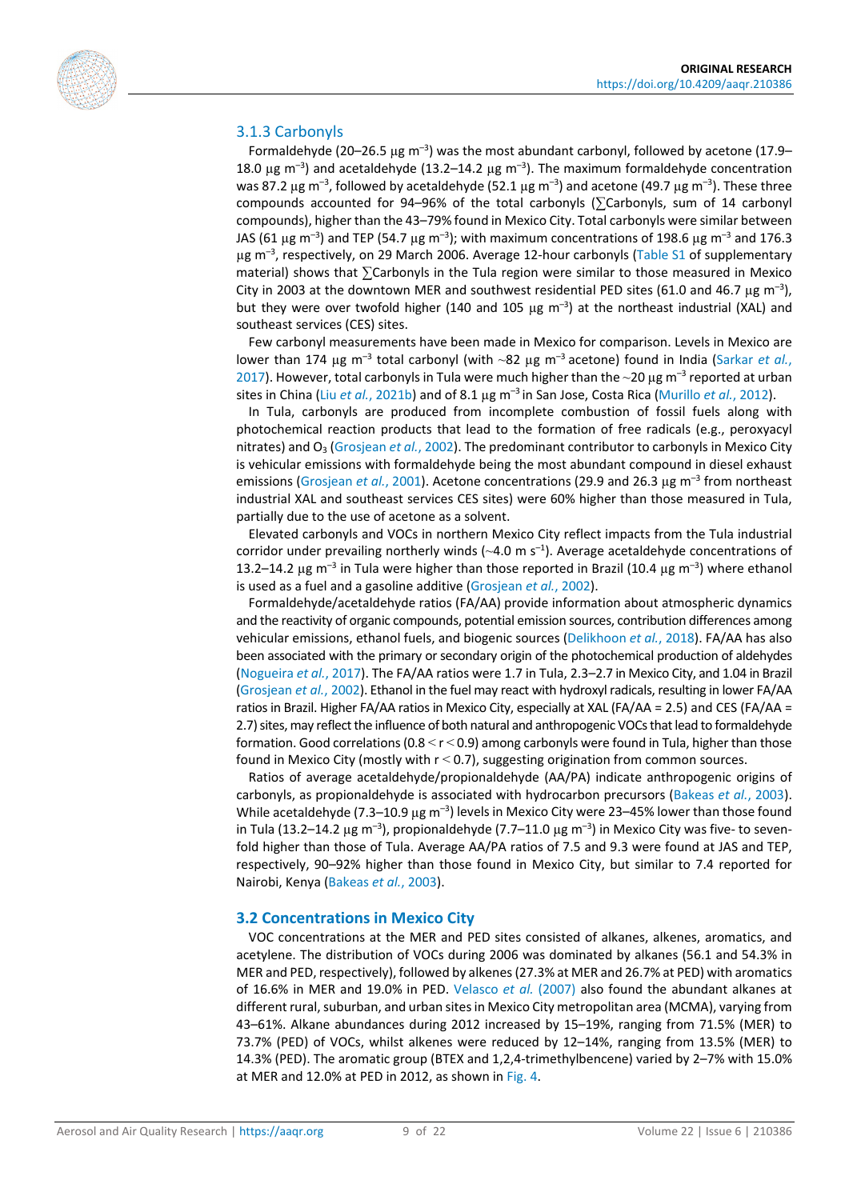

#### 3.1.3 Carbonyls

Formaldehyde (20-26.5 µg m<sup>-3</sup>) was the most abundant carbonyl, followed by acetone (17.9-18.0  $\mu$ g m<sup>-3</sup>) and acetaldehyde (13.2–14.2  $\mu$ g m<sup>-3</sup>). The maximum formaldehyde concentration was 87.2  $\mu$ g m<sup>-3</sup>, followed by acetaldehyde (52.1  $\mu$ g m<sup>-3</sup>) and acetone (49.7  $\mu$ g m<sup>-3</sup>). These three compounds accounted for 94–96% of the total carbonyls ( $\sum$ Carbonyls, sum of 14 carbonyl compounds), higher than the 43–79% found in Mexico City. Total carbonyls were similar between JAS (61  $\mu$ g m<sup>-3</sup>) and TEP (54.7  $\mu$ g m<sup>-3</sup>); with maximum concentrations of 198.6  $\mu$ g m<sup>-3</sup> and 176.3 µg m<sup>-3</sup>, respectively, on 29 March 2006. Average 12-hour carbonyls [\(Table S1](https://doi.org/10.4209/aaqr.210386) of supplementary material) shows that ∑Carbonyls in the Tula region were similar to those measured in Mexico City in 2003 at the downtown MER and southwest residential PED sites (61.0 and 46.7  $\mu$ g m<sup>-3</sup>), but they were over twofold higher (140 and 105  $\mu$ g m<sup>-3</sup>) at the northeast industrial (XAL) and southeast services (CES) sites.

Few carbonyl measurements have been made in Mexico for comparison. Levels in Mexico are lower than 174 µg m<sup>-3</sup> total carbonyl (with ~82 µg m<sup>-3</sup> acetone) found in India [\(Sarkar](#page-20-13) *et al.*, [2017\)](#page-20-13). However, total carbonyls in Tula were much higher than the  $\sim$ 20 µg m<sup>-3</sup> reported at urban sites in China (Liu *et al.*[, 2021b\)](#page-19-8) and of 8.1 µg m–3 in San Jose, Costa Rica [\(Murillo](#page-19-9) *et al.*, 2012).

In Tula, carbonyls are produced from incomplete combustion of fossil fuels along with photochemical reaction products that lead to the formation of free radicals (e.g., peroxyacyl nitrates) and O<sub>3</sub> [\(Grosjean](#page-18-8) *et al.*, 2002). The predominant contributor to carbonyls in Mexico City is vehicular emissions with formaldehyde being the most abundant compound in diesel exhaust emissions [\(Grosjean](#page-18-9) *et al.*, 2001). Acetone concentrations (29.9 and 26.3 µg m<sup>-3</sup> from northeast industrial XAL and southeast services CES sites) were 60% higher than those measured in Tula, partially due to the use of acetone as a solvent.

Elevated carbonyls and VOCs in northern Mexico City reflect impacts from the Tula industrial corridor under prevailing northerly winds  $(\sim4.0~\mathrm{m~s^{-1}})$ . Average acetaldehyde concentrations of 13.2-14.2  $\mu$ g m<sup>-3</sup> in Tula were higher than those reported in Brazil (10.4  $\mu$ g m<sup>-3</sup>) where ethanol is used as a fuel and a gasoline additive [\(Grosjean](#page-18-8) *et al.*, 2002).

Formaldehyde/acetaldehyde ratios (FA/AA) provide information about atmospheric dynamics and the reactivity of organic compounds, potential emission sources, contribution differences among vehicular emissions, ethanol fuels, and biogenic sources [\(Delikhoon](#page-17-8) *et al.*, 2018). FA/AA has also been associated with the primary or secondary origin of the photochemical production of aldehydes [\(Nogueira](#page-19-10) *et al.*, 2017). The FA/AA ratios were 1.7 in Tula, 2.3–2.7 in Mexico City, and 1.04 in Brazil [\(Grosjean](#page-18-8) *et al.*, 2002). Ethanol in the fuel may react with hydroxyl radicals, resulting in lower FA/AA ratios in Brazil. Higher FA/AA ratios in Mexico City, especially at XAL (FA/AA = 2.5) and CES (FA/AA = 2.7) sites, may reflect the influence of both natural and anthropogenic VOCs that lead to formaldehyde formation. Good correlations ( $0.8 < r < 0.9$ ) among carbonyls were found in Tula, higher than those found in Mexico City (mostly with  $r < 0.7$ ), suggesting origination from common sources.

Ratios of average acetaldehyde/propionaldehyde (AA/PA) indicate anthropogenic origins of carbonyls, as propionaldehyde is associated with hydrocarbon precursors [\(Bakeas](#page-16-6) *et al.*, 2003). While acetaldehyde (7.3–10.9  $\mu$ g m<sup>-3</sup>) levels in Mexico City were 23–45% lower than those found in Tula (13.2–14.2 µg m<sup>-3</sup>), propionaldehyde (7.7–11.0 µg m<sup>-3</sup>) in Mexico City was five- to sevenfold higher than those of Tula. Average AA/PA ratios of 7.5 and 9.3 were found at JAS and TEP, respectively, 90–92% higher than those found in Mexico City, but similar to 7.4 reported for Nairobi, Kenya [\(Bakeas](#page-16-6) *et al.*, 2003).

#### **3.2 Concentrations in Mexico City**

VOC concentrations at the MER and PED sites consisted of alkanes, alkenes, aromatics, and acetylene. The distribution of VOCs during 2006 was dominated by alkanes (56.1 and 54.3% in MER and PED, respectively), followed by alkenes (27.3% at MER and 26.7% at PED) with aromatics of 16.6% in MER and 19.0% in PED. [Velasco](#page-20-12) *et al.* (2007) also found the abundant alkanes at different rural, suburban, and urban sites in Mexico City metropolitan area (MCMA), varying from 43–61%. Alkane abundances during 2012 increased by 15–19%, ranging from 71.5% (MER) to 73.7% (PED) of VOCs, whilst alkenes were reduced by 12–14%, ranging from 13.5% (MER) to 14.3% (PED). The aromatic group (BTEX and 1,2,4-trimethylbencene) varied by 2–7% with 15.0% at MER and 12.0% at PED in 2012, as shown i[n Fig.](#page-9-0) 4.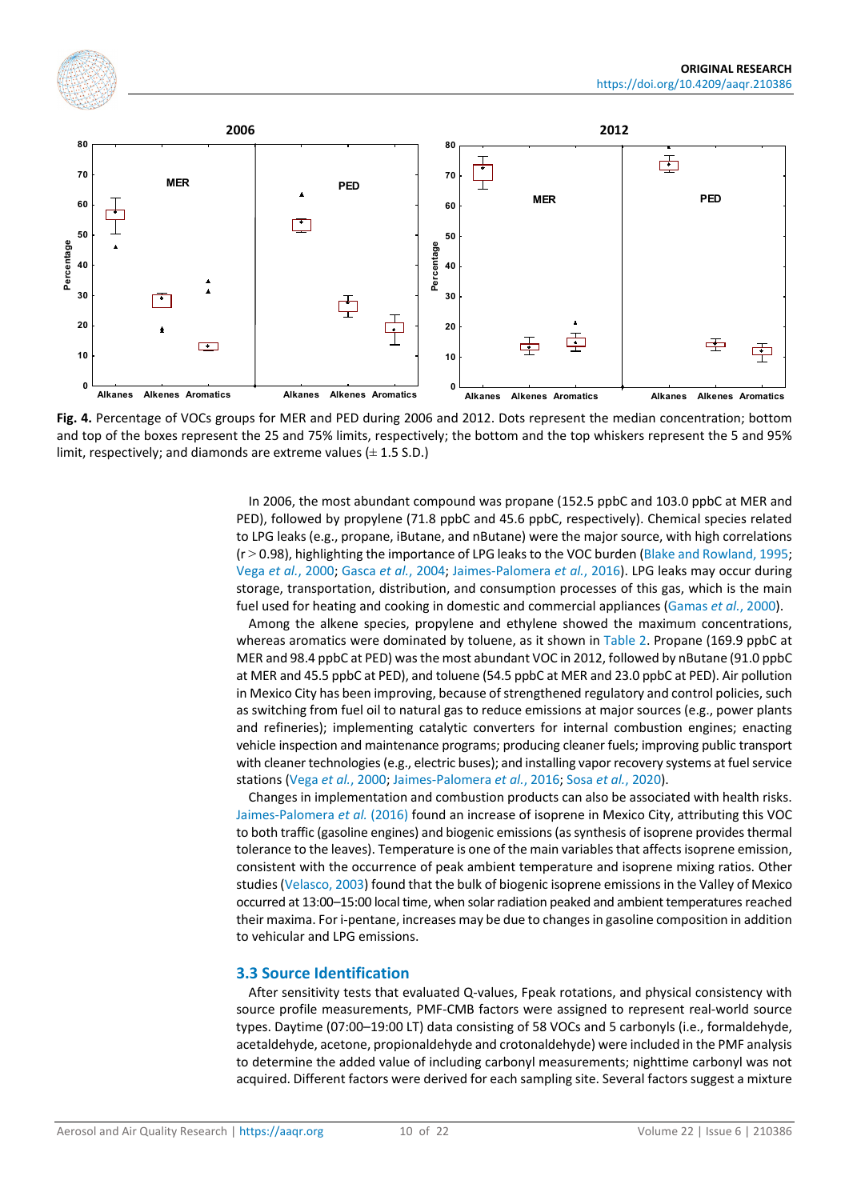<span id="page-9-0"></span>

**Fig. 4.** Percentage of VOCs groups for MER and PED during 2006 and 2012. Dots represent the median concentration; bottom and top of the boxes represent the 25 and 75% limits, respectively; the bottom and the top whiskers represent the 5 and 95% limit, respectively; and diamonds are extreme values  $(\pm 1.5$  S.D.)

In 2006, the most abundant compound was propane (152.5 ppbC and 103.0 ppbC at MER and PED), followed by propylene (71.8 ppbC and 45.6 ppbC, respectively). Chemical species related to LPG leaks (e.g., propane, iButane, and nButane) were the major source, with high correlations (r > 0.98), highlighting the importance of LPG leaks to the VOC burden [\(Blake and Rowland, 1995;](#page-16-5) Vega *et al.*[, 2000;](#page-20-1) [Gasca](#page-17-9) *et al.*, 2004; [Jaimes-Palomera](#page-18-0) *et al.*, 2016). LPG leaks may occur during storage, transportation, distribution, and consumption processes of this gas, which is the main fuel used for heating and cooking in domestic and commercial appliances [\(Gamas](#page-17-10) *et al.*, 2000).

Among the alkene species, propylene and ethylene showed the maximum concentrations, whereas aromatics were dominated by toluene, as it shown i[n Table 2.](#page-10-0) Propane (169.9 ppbC at MER and 98.4 ppbC at PED) was the most abundant VOC in 2012, followed by nButane (91.0 ppbC at MER and 45.5 ppbC at PED), and toluene (54.5 ppbC at MER and 23.0 ppbC at PED). Air pollution in Mexico City has been improving, because of strengthened regulatory and control policies, such as switching from fuel oil to natural gas to reduce emissions at major sources (e.g., power plants and refineries); implementing catalytic converters for internal combustion engines; enacting vehicle inspection and maintenance programs; producing cleaner fuels; improving public transport with cleaner technologies (e.g., electric buses); and installing vapor recovery systems at fuel service stations (Vega *et al.*[, 2000;](#page-20-1) [Jaimes-Palomera](#page-18-0) *et al.*, 2016; Sosa *et al.*[, 2020\)](#page-20-4).

Changes in implementation and combustion products can also be associated with health risks. [Jaimes-Palomera](#page-18-0) *et al.* (2016) found an increase of isoprene in Mexico City, attributing this VOC to both traffic (gasoline engines) and biogenic emissions (as synthesis of isoprene provides thermal tolerance to the leaves). Temperature is one of the main variables that affects isoprene emission, consistent with the occurrence of peak ambient temperature and isoprene mixing ratios. Other studies [\(Velasco, 2003\)](#page-20-14) found that the bulk of biogenic isoprene emissions in the Valley of Mexico occurred at 13:00–15:00 local time, when solar radiation peaked and ambient temperatures reached their maxima. For i-pentane, increases may be due to changes in gasoline composition in addition to vehicular and LPG emissions.

#### **3.3 Source Identification**

After sensitivity tests that evaluated Q-values, Fpeak rotations, and physical consistency with source profile measurements, PMF-CMB factors were assigned to represent real-world source types. Daytime (07:00–19:00 LT) data consisting of 58 VOCs and 5 carbonyls (i.e., formaldehyde, acetaldehyde, acetone, propionaldehyde and crotonaldehyde) were included in the PMF analysis to determine the added value of including carbonyl measurements; nighttime carbonyl was not acquired. Different factors were derived for each sampling site. Several factors suggest a mixture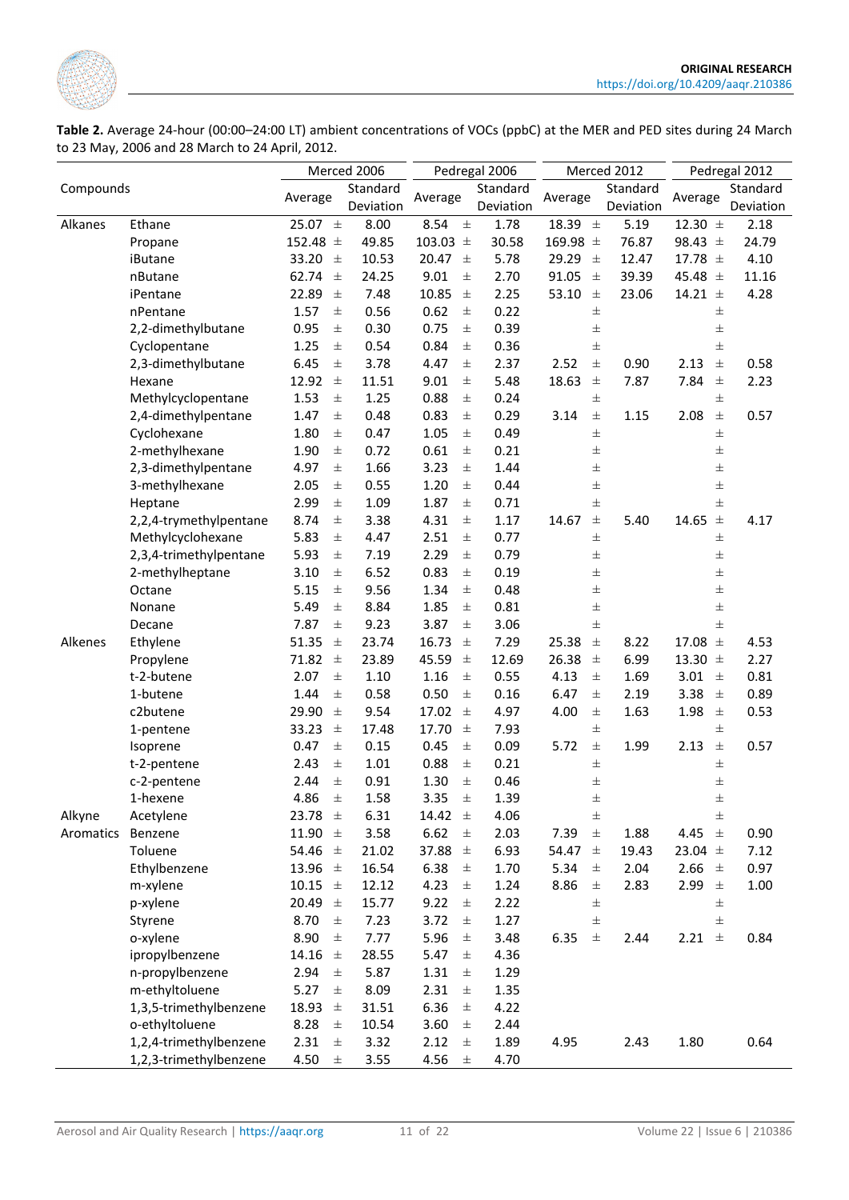

<span id="page-10-0"></span>**Table 2.** Average 24-hour (00:00–24:00 LT) ambient concentrations of VOCs (ppbC) at the MER and PED sites during 24 March to 23 May, 2006 and 28 March to 24 April, 2012.

|           |                        |                   | Merced 2006 |                  | Pedregal 2006 |                  | Merced 2012 | Pedregal 2012  |           |  |
|-----------|------------------------|-------------------|-------------|------------------|---------------|------------------|-------------|----------------|-----------|--|
| Compounds |                        | Standard          |             |                  | Standard      |                  | Standard    |                | Standard  |  |
|           |                        | Average           | Deviation   | Average          | Deviation     | Average          | Deviation   | Average        | Deviation |  |
| Alkanes   | Ethane                 | 25.07 $\pm$       | 8.00        | 8.54<br>$\pm$    | 1.78          | 18.39 $\pm$      | 5.19        | 12.30 $\pm$    | 2.18      |  |
|           | Propane                | 152.48 $\pm$      | 49.85       | 103.03 $\pm$     | 30.58         | 169.98 $\pm$     | 76.87       | 98.43 $\pm$    | 24.79     |  |
|           | iButane                | 33.20<br>$_{\pm}$ | 10.53       | 20.47<br>$\pm$   | 5.78          | 29.29<br>土       | 12.47       | 17.78 $\pm$    | 4.10      |  |
|           | nButane                | 62.74<br>$\pm$    | 24.25       | 9.01<br>$\pm$    | 2.70          | 91.05<br>$\pm$   | 39.39       | 45.48 $\pm$    | 11.16     |  |
|           | iPentane               | 22.89<br>$\pm$    | 7.48        | 10.85<br>$\pm$   | 2.25          | 53.10<br>$\pm$   | 23.06       | 14.21 $\pm$    | 4.28      |  |
|           | nPentane               | $\pm$<br>1.57     | 0.56        | 0.62<br>$\pm$    | 0.22          | $\pm$            |             | $\pm$          |           |  |
|           | 2,2-dimethylbutane     | 0.95<br>$\pm$     | 0.30        | 0.75<br>$\pm$    | 0.39          | $\pm$            |             | $\pm$          |           |  |
|           | Cyclopentane           | 1.25<br>$\pm$     | 0.54        | 0.84<br>$\pm$    | 0.36          | $\pm$            |             | $\pm$          |           |  |
|           | 2,3-dimethylbutane     | 6.45<br>$\pm$     | 3.78        | 4.47<br>$\pm$    | 2.37          | 2.52<br>$\pm$    | 0.90        | $\pm$<br>2.13  | 0.58      |  |
|           | Hexane                 | $\pm$<br>12.92    | 11.51       | 9.01<br>$\pm$    | 5.48          | 18.63<br>$\pm$   | 7.87        | 7.84<br>$\pm$  | 2.23      |  |
|           | Methylcyclopentane     | 1.53<br>$\pm$     | 1.25        | 0.88<br>$\pm$    | 0.24          | $\pm$            |             | $\pm$          |           |  |
|           | 2,4-dimethylpentane    | 1.47<br>$\pm$     | 0.48        | 0.83<br>$\pm$    | 0.29          | 3.14<br>$\pm$    | 1.15        | 2.08<br>$\pm$  | 0.57      |  |
|           | Cyclohexane            | 1.80<br>$\pm$     | 0.47        | 1.05<br>$\pm$    | 0.49          | $\pm$            |             | $\pm$          |           |  |
|           | 2-methylhexane         | 1.90<br>士         | 0.72        | 0.61<br>士        | 0.21          | $\pm$            |             | 士              |           |  |
|           | 2,3-dimethylpentane    | 4.97<br>士         | 1.66        | 3.23<br>士        | 1.44          | 士                |             | $\pm$          |           |  |
|           | 3-methylhexane         | 2.05<br>士         | 0.55        | 1.20<br>士        | 0.44          | 士                |             | 士              |           |  |
|           | Heptane                | 2.99<br>士         | 1.09        | 1.87<br>士        | 0.71          | 士                |             | $\pm$          |           |  |
|           | 2,2,4-trymethylpentane | 8.74<br>士         | 3.38        | 4.31<br>$\pm$    | 1.17          | 14.67<br>士       | 5.40        | 14.65 $\pm$    | 4.17      |  |
|           | Methylcyclohexane      | 5.83<br>$\pm$     | 4.47        | 2.51<br>$\pm$    | 0.77          | 士                |             | 士              |           |  |
|           | 2,3,4-trimethylpentane | 5.93<br>士         | 7.19        | 2.29<br>$_{\pm}$ | 0.79          | $\pm$            |             | $\pm$          |           |  |
|           | 2-methylheptane        | 3.10<br>$\pm$     | 6.52        | 0.83<br>$\pm$    | 0.19          | 士                |             | $\pm$          |           |  |
|           | Octane                 | 5.15<br>$\pm$     | 9.56        | 1.34<br>$\pm$    | 0.48          | 士                |             | $\pm$          |           |  |
|           | Nonane                 | 5.49<br>$\pm$     | 8.84        | 1.85<br>$\pm$    | 0.81          | $\pm$            |             | $\pm$          |           |  |
|           | Decane                 | $\pm$<br>7.87     | 9.23        | 3.87<br>$\pm$    | 3.06          | $\pm$            |             | $\pm$          |           |  |
| Alkenes   | Ethylene               | 51.35<br>$\pm$    | 23.74       | 16.73<br>$\pm$   | 7.29          | 25.38<br>$\pm$   | 8.22        | 17.08<br>$\pm$ | 4.53      |  |
|           | Propylene              | 71.82<br>$\pm$    | 23.89       | $\pm$<br>45.59   | 12.69         | 26.38<br>$\pm$   | 6.99        | 13.30 $\pm$    | 2.27      |  |
|           | t-2-butene             | 2.07<br>$\pm$     | 1.10        | 1.16<br>$\pm$    | 0.55          | 4.13<br>$\pm$    | 1.69        | 3.01<br>$\pm$  | 0.81      |  |
|           | 1-butene               | 1.44<br>$\pm$     | 0.58        | 0.50<br>$\pm$    | 0.16          | 6.47<br>$\pm$    | 2.19        | 3.38<br>$\pm$  | 0.89      |  |
|           | c2butene               | 29.90<br>$\pm$    | 9.54        | 17.02<br>$\pm$   | 4.97          | 4.00<br>$\pm$    | 1.63        | $\pm$<br>1.98  | 0.53      |  |
|           | 1-pentene              | 33.23<br>$\pm$    | 17.48       | 17.70<br>$\pm$   | 7.93          | $\pm$            |             | $\pm$          |           |  |
|           | Isoprene               | 0.47<br>$\pm$     | 0.15        | 0.45<br>$\pm$    | 0.09          | 5.72<br>$\pm$    | 1.99        | $\pm$<br>2.13  | 0.57      |  |
|           | t-2-pentene            | 2.43<br>$\pm$     | 1.01        | 0.88<br>$\pm$    | 0.21          | $\pm$            |             | $\pm$          |           |  |
|           | c-2-pentene            | $\pm$<br>2.44     | 0.91        | 1.30<br>$\pm$    | 0.46          | $\pm$            |             | $\pm$          |           |  |
|           | 1-hexene               | 4.86<br>$\pm$     | 1.58        | 3.35<br>$\pm$    | 1.39          | 士                |             | 士              |           |  |
| Alkyne    | Acetylene              | 23.78<br>$\pm$    | 6.31        | 14.42<br>$\pm$   | 4.06          | $\pm$            |             | $\pm$          |           |  |
| Aromatics | Benzene                | 11.90 $\pm$       | 3.58        | 6.62<br>$\pm$    | 2.03          | 7.39<br>$\pm$    | 1.88        | 4.45<br>$\pm$  | 0.90      |  |
|           | Toluene                | 54.46 $\pm$       | 21.02       | 37.88<br>$\pm$   | 6.93          | 54.47<br>$\pm$   | 19.43       | 23.04 $\pm$    | 7.12      |  |
|           | Ethylbenzene           | 13.96 $\pm$       | 16.54       | 6.38<br>$\pm$    | 1.70          | 5.34<br>$\pm$    | 2.04        | 2.66<br>$\pm$  | 0.97      |  |
|           | m-xylene               | 10.15 $\pm$       | 12.12       | 4.23<br>$\pm$    | 1.24          | 8.86<br>$_{\pm}$ | 2.83        | 2.99<br>$\pm$  | 1.00      |  |
|           | p-xylene               | 20.49<br>$\pm$    | 15.77       | 9.22<br>$\pm$    | 2.22          | $\pm$            |             | $\pm$          |           |  |
|           | Styrene                | 8.70<br>$\pm$     | 7.23        | 3.72<br>$_{\pm}$ | 1.27          | $\pm$            |             | $\pm$          |           |  |
|           | o-xylene               | 8.90<br>士         | 7.77        | 5.96<br>$\pm$    | 3.48          | 6.35<br>$\pm$    | 2.44        | 2.21 $\pm$     | 0.84      |  |
|           | ipropylbenzene         | 14.16<br>士        | 28.55       | 5.47<br>士        | 4.36          |                  |             |                |           |  |
|           | n-propylbenzene        | 2.94<br>士         | 5.87        | 1.31<br>$_{\pm}$ | 1.29          |                  |             |                |           |  |
|           | m-ethyltoluene         | 5.27<br>$_{\pm}$  | 8.09        | 2.31<br>士        | 1.35          |                  |             |                |           |  |
|           | 1,3,5-trimethylbenzene | 18.93<br>$\pm$    | 31.51       | 6.36<br>$\pm$    | 4.22          |                  |             |                |           |  |
|           | o-ethyltoluene         | 8.28<br>$\pm$     | 10.54       | 3.60<br>$\pm$    | 2.44          |                  |             |                |           |  |
|           | 1,2,4-trimethylbenzene | 2.31<br>$\pm$     | 3.32        | 2.12<br>$\pm$    | 1.89          | 4.95             | 2.43        | 1.80           | 0.64      |  |
|           | 1,2,3-trimethylbenzene | 4.50<br>$\pm$     | 3.55        | 4.56<br>$\pm$    | 4.70          |                  |             |                |           |  |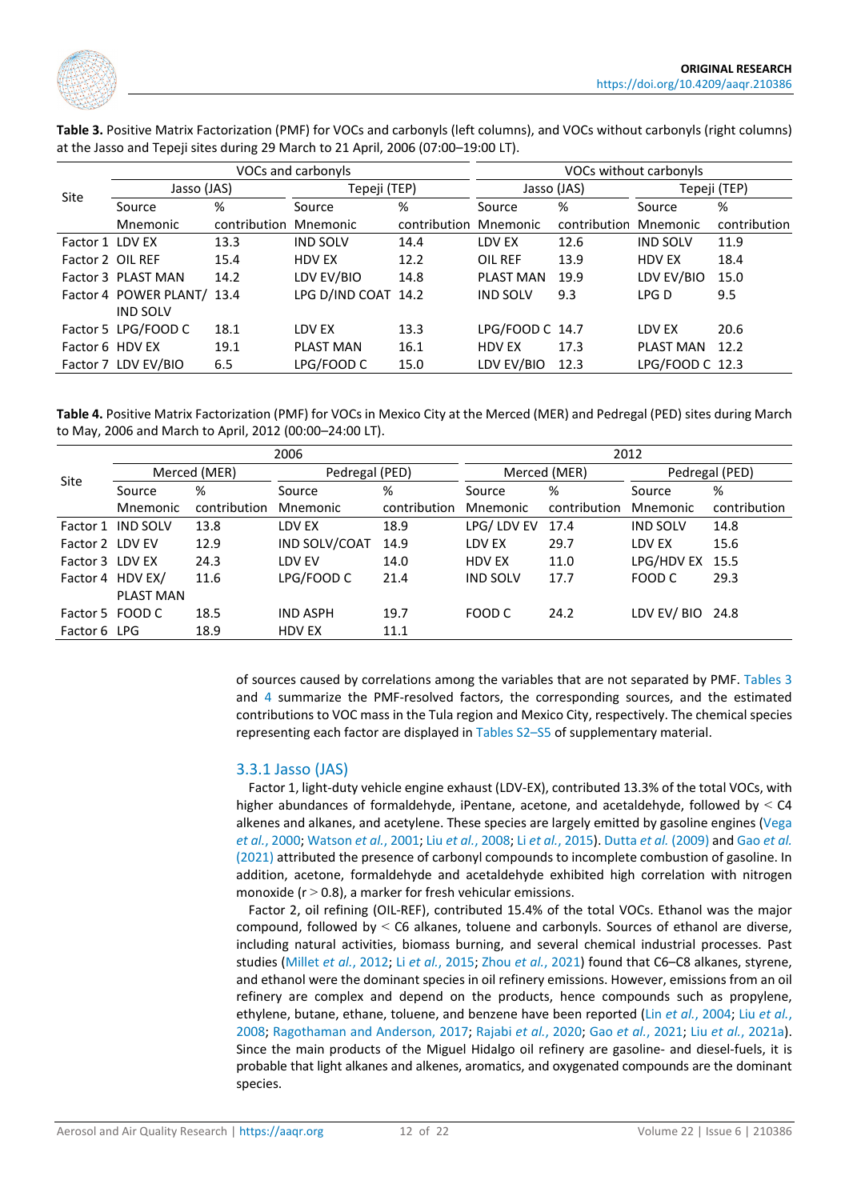

|                  |                            |              | VOCs and carbonyls  | VOCs without carbonyls |                 |              |                  |              |  |
|------------------|----------------------------|--------------|---------------------|------------------------|-----------------|--------------|------------------|--------------|--|
|                  | Jasso (JAS)                |              | Tepeji (TEP)        |                        |                 | Jasso (JAS)  | Tepeji (TEP)     |              |  |
| Site             | Source                     | %            | Source              | %                      | Source          | %            | Source           | %            |  |
|                  | Mnemonic                   | contribution | Mnemonic            | contribution           | Mnemonic        | contribution | Mnemonic         | contribution |  |
| Factor 1 LDV EX  |                            | 13.3         | <b>IND SOLV</b>     | 14.4                   | LDV EX          | 12.6         | <b>IND SOLV</b>  | 11.9         |  |
| Factor 2 OIL REF |                            | 15.4         | HDV EX              | 12.2                   | OIL REF         | 13.9         | <b>HDV EX</b>    | 18.4         |  |
|                  | Factor 3 PLAST MAN         | 14.2         | LDV EV/BIO          | 14.8                   | PLAST MAN       | 19.9         | LDV EV/BIO       | 15.0         |  |
|                  | Factor 4 POWER PLANT/ 13.4 |              | LPG D/IND COAT 14.2 |                        | <b>IND SOLV</b> | 9.3          | LPG D            | 9.5          |  |
|                  | <b>IND SOLV</b>            |              |                     |                        |                 |              |                  |              |  |
|                  | Factor 5 LPG/FOOD C        | 18.1         | LDV EX              | 13.3                   | LPG/FOOD C 14.7 |              | LDV EX           | 20.6         |  |
| Factor 6 HDV EX  |                            | 19.1         | <b>PLAST MAN</b>    | 16.1                   | <b>HDV EX</b>   | 17.3         | <b>PLAST MAN</b> | 12.2         |  |
|                  | Factor 7 LDV EV/BIO        | 6.5          | LPG/FOOD C          | 15.0                   | LDV EV/BIO      | 12.3         | LPG/FOOD C 12.3  |              |  |

<span id="page-11-0"></span>**Table 3.** Positive Matrix Factorization (PMF) for VOCs and carbonyls (left columns), and VOCs without carbonyls (right columns) at the Jasso and Tepeji sites during 29 March to 21 April, 2006 (07:00–19:00 LT).

<span id="page-11-1"></span>**Table 4.** Positive Matrix Factorization (PMF) for VOCs in Mexico City at the Merced (MER) and Pedregal (PED) sites during March to May, 2006 and March to April, 2012 (00:00–24:00 LT).

|                 |                  |              | 2006            |              | 2012            |              |                 |              |  |  |
|-----------------|------------------|--------------|-----------------|--------------|-----------------|--------------|-----------------|--------------|--|--|
|                 |                  | Merced (MER) | Pedregal (PED)  |              |                 | Merced (MER) | Pedregal (PED)  |              |  |  |
| Site            | Source           | %            | Source          | %            | Source          | %            | Source          | %            |  |  |
|                 | Mnemonic         | contribution | Mnemonic        | contribution | Mnemonic        | contribution | Mnemonic        | contribution |  |  |
| Factor 1        | <b>IND SOLV</b>  | 13.8         | LDV EX          | 18.9         | LPG/ LDV EV     | 17.4         | <b>IND SOLV</b> | 14.8         |  |  |
| Factor 2 LDV EV |                  | 12.9         | IND SOLV/COAT   | 14.9         | LDV EX          | 29.7         | LDV EX          | 15.6         |  |  |
| Factor 3 LDV EX |                  | 24.3         | LDV EV          | 14.0         | <b>HDV EX</b>   | 11.0         | LPG/HDV EX      | 15.5         |  |  |
|                 | Factor 4 HDV EX/ | 11.6         | LPG/FOOD C      | 21.4         | <b>IND SOLV</b> | 17.7         | FOOD C          | 29.3         |  |  |
|                 | <b>PLAST MAN</b> |              |                 |              |                 |              |                 |              |  |  |
|                 | Factor 5 FOOD C  | 18.5         | <b>IND ASPH</b> | 19.7         | FOOD C          | 24.2         | LDV EV/BIO 24.8 |              |  |  |
| Factor 6 LPG    |                  | 18.9         | <b>HDV EX</b>   | 11.1         |                 |              |                 |              |  |  |
|                 |                  |              |                 |              |                 |              |                 |              |  |  |

of sources caused by correlations among the variables that are not separated by PMF. [Tables 3](#page-11-0) and [4](#page-11-1) summarize the PMF-resolved factors, the corresponding sources, and the estimated contributions to VOC mass in the Tula region and Mexico City, respectively. The chemical species representing each factor are displayed in [Tables S2–S5](https://doi.org/10.4209/aaqr.210386) of supplementary material.

#### 3.3.1 Jasso (JAS)

Factor 1, light-duty vehicle engine exhaust (LDV-EX), contributed 13.3% of the total VOCs, with higher abundances of formaldehyde, iPentane, acetone, and acetaldehyde, followed by  $\leq$  C4 alkenes and alkanes, and acetylene. These species are largely emitted by gasoline engines [\(Vega](#page-20-1)  *et al.*[, 2000;](#page-20-1) [Watson](#page-21-0) *et al.*, 2001; Liu *et al.*[, 2008;](#page-19-11) Li *et al.*[, 2015\)](#page-18-10). [Dutta](#page-17-11) *et al.* (2009) and [Gao](#page-17-12) *et al.* [\(2021\)](#page-17-12) attributed the presence of carbonyl compounds to incomplete combustion of gasoline. In addition, acetone, formaldehyde and acetaldehyde exhibited high correlation with nitrogen monoxide ( $r > 0.8$ ), a marker for fresh vehicular emissions.

Factor 2, oil refining (OIL-REF), contributed 15.4% of the total VOCs. Ethanol was the major compound, followed by < C6 alkanes, toluene and carbonyls. Sources of ethanol are diverse, including natural activities, biomass burning, and several chemical industrial processes. Past studies [\(Millet](#page-19-12) *et al.*, 2012; Li *et al.*[, 2015;](#page-18-10) Zhou *et al.*[, 2021\)](#page-21-1) found that C6–C8 alkanes, styrene, and ethanol were the dominant species in oil refinery emissions. However, emissions from an oil refinery are complex and depend on the products, hence compounds such as propylene, ethylene, butane, ethane, toluene, and benzene have been reported (Lin *et al.*[, 2004;](#page-19-0) Liu *[et al.](#page-19-11)*, [2008;](#page-19-11) [Ragothaman and Anderson, 2017;](#page-19-13) [Rajabi](#page-19-14) *et al.*, 2020; Gao *et al.*[, 2021;](#page-17-12) Liu *et al.*[, 2021a\)](#page-19-15). Since the main products of the Miguel Hidalgo oil refinery are gasoline- and diesel-fuels, it is probable that light alkanes and alkenes, aromatics, and oxygenated compounds are the dominant species.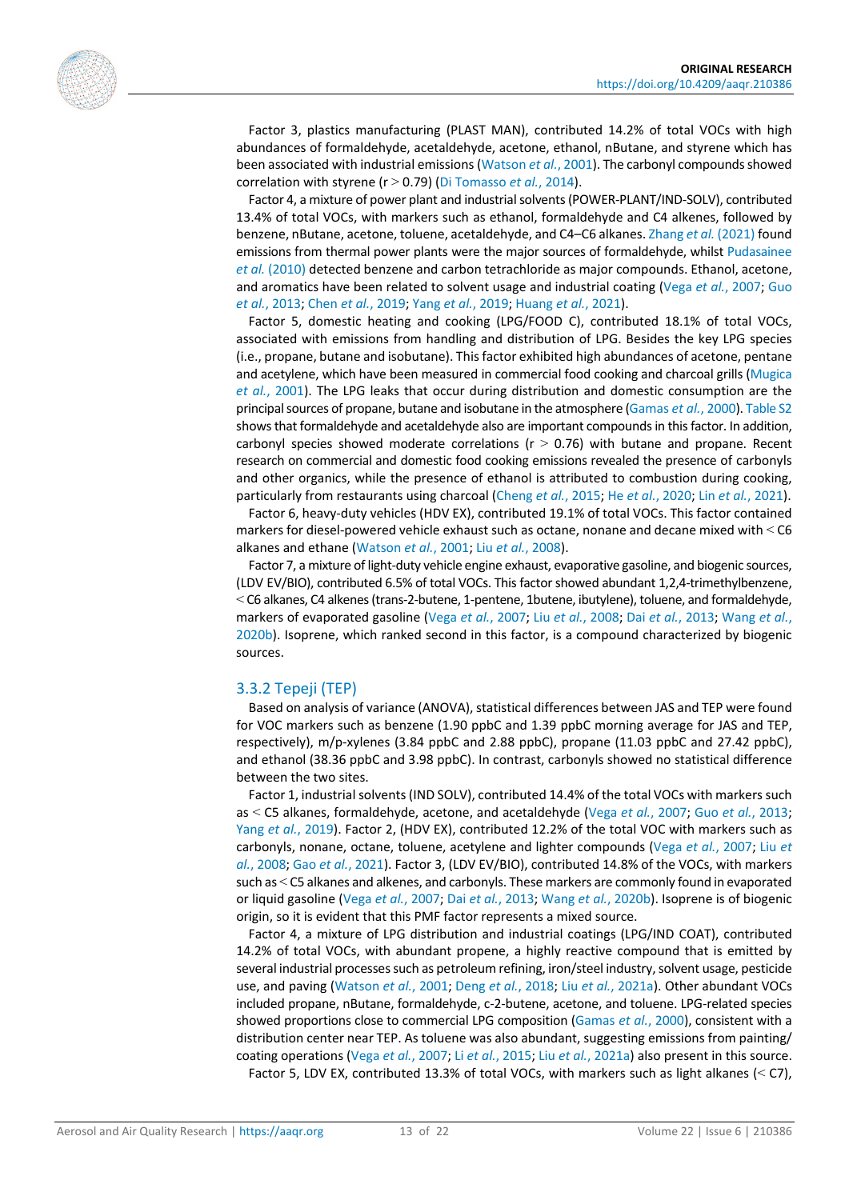

Factor 3, plastics manufacturing (PLAST MAN), contributed 14.2% of total VOCs with high abundances of formaldehyde, acetaldehyde, acetone, ethanol, nButane, and styrene which has been associated with industrial emissions [\(Watson](#page-21-0) *et al.*, 2001). The carbonyl compounds showed correlation with styrene (r > 0.79) [\(Di Tomasso](#page-17-13) *et al.*, 2014).

Factor 4, a mixture of power plant and industrial solvents (POWER-PLANT/IND-SOLV), contributed 13.4% of total VOCs, with markers such as ethanol, formaldehyde and C4 alkenes, followed by benzene, nButane, acetone, toluene, acetaldehyde, and C4–C6 alkanes[. Zhang](#page-21-2) *et al.* (2021) found emissions from thermal power plants were the major sources of formaldehyde, whilst [Pudasainee](#page-19-16)  *et al.* [\(2010\)](#page-19-16) detected benzene and carbon tetrachloride as major compounds. Ethanol, acetone, and aromatics have been related to solvent usage and industrial coating (Vega *et al.*[, 2007;](#page-20-12) [Guo](#page-18-11)  *et al.*[, 2013;](#page-18-11) Chen *et al.*[, 2019;](#page-16-7) Yang *et al.*[, 2019;](#page-21-3) [Huang](#page-18-12) *et al.*, 2021).

Factor 5, domestic heating and cooking (LPG/FOOD C), contributed 18.1% of total VOCs, associated with emissions from handling and distribution of LPG. Besides the key LPG species (i.e., propane, butane and isobutane). This factor exhibited high abundances of acetone, pentane and acetylene, which have been measured in commercial food cooking and charcoal grills (Mugica *et al.*[, 2001\)](#page-19-17). The LPG leaks that occur during distribution and domestic consumption are the principal sources of propane, butane and isobutane in the atmosphere [\(Gamas](#page-17-10) *et al.*, 2000)[. Table S2](https://doi.org/10.4209/aaqr.210386) shows that formaldehyde and acetaldehyde also are important compounds in this factor. In addition, carbonyl species showed moderate correlations ( $r > 0.76$ ) with butane and propane. Recent research on commercial and domestic food cooking emissions revealed the presence of carbonyls and other organics, while the presence of ethanol is attributed to combustion during cooking, particularly from restaurants using charcoal [\(Cheng](#page-16-8) *et al.*, 2015; He *et al.*[, 2020;](#page-18-13) Lin *et al.*[, 2021\)](#page-18-14).

Factor 6, heavy-duty vehicles (HDV EX), contributed 19.1% of total VOCs. This factor contained markers for diesel-powered vehicle exhaust such as octane, nonane and decane mixed with < C6 alkanes and ethane [\(Watson](#page-21-0) *et al.*, 2001; Liu *et al.*[, 2008\)](#page-19-11).

Factor 7, a mixture of light-duty vehicle engine exhaust, evaporative gasoline, and biogenic sources, (LDV EV/BIO), contributed 6.5% of total VOCs. This factor showed abundant 1,2,4-trimethylbenzene, < C6 alkanes, C4 alkenes (trans-2-butene, 1-pentene, 1butene, ibutylene), toluene, and formaldehyde, markers of evaporated gasoline (Vega *et al.*[, 2007;](#page-20-12) Liu *et al.*[, 2008;](#page-19-11) Dai *et al.*[, 2013;](#page-16-9) [Wang](#page-21-4) *et al.*, [2020b\)](#page-21-4). Isoprene, which ranked second in this factor, is a compound characterized by biogenic sources.

#### 3.3.2 Tepeji (TEP)

Based on analysis of variance (ANOVA), statistical differences between JAS and TEP were found for VOC markers such as benzene (1.90 ppbC and 1.39 ppbC morning average for JAS and TEP, respectively), m/p-xylenes (3.84 ppbC and 2.88 ppbC), propane (11.03 ppbC and 27.42 ppbC), and ethanol (38.36 ppbC and 3.98 ppbC). In contrast, carbonyls showed no statistical difference between the two sites.

Factor 1, industrial solvents (IND SOLV), contributed 14.4% of the total VOCs with markers such as < C5 alkanes, formaldehyde, acetone, and acetaldehyde (Vega *et al.*[, 2007;](#page-20-12) Guo *et al.*[, 2013;](#page-18-11) Yang *et al.*[, 2019\)](#page-21-3). Factor 2, (HDV EX), contributed 12.2% of the total VOC with markers such as carbonyls, nonane, octane, toluene, acetylene and lighter compounds (Vega *et al.*[, 2007;](#page-20-12) [Liu](#page-19-11) *et al.*[, 2008;](#page-19-11) Gao *et al.*[, 2021\)](#page-17-12). Factor 3, (LDV EV/BIO), contributed 14.8% of the VOCs, with markers such as < C5 alkanes and alkenes, and carbonyls. These markers are commonly found in evaporated or liquid gasoline (Vega *et al.*[, 2007;](#page-20-12) Dai *et al.*[, 2013;](#page-16-9) Wang *et al.*[, 2020b\)](#page-21-4). Isoprene is of biogenic origin, so it is evident that this PMF factor represents a mixed source.

Factor 4, a mixture of LPG distribution and industrial coatings (LPG/IND COAT), contributed 14.2% of total VOCs, with abundant propene, a highly reactive compound that is emitted by several industrial processes such as petroleum refining, iron/steel industry, solvent usage, pesticide use, and paving [\(Watson](#page-21-0) *et al.*, 2001; Deng *et al.*[, 2018;](#page-17-14) Liu *et al.*[, 2021a\)](#page-19-15). Other abundant VOCs included propane, nButane, formaldehyde, c-2-butene, acetone, and toluene. LPG-related species showed proportions close to commercial LPG composition [\(Gamas](#page-17-10) *et al.*, 2000), consistent with a distribution center near TEP. As toluene was also abundant, suggesting emissions from painting/ coating operations (Vega *et al.*[, 2007;](#page-20-12) Li *et al.*[, 2015;](#page-18-10) Liu *et al.*[, 2021a\)](#page-19-15) also present in this source. Factor 5, LDV EX, contributed 13.3% of total VOCs, with markers such as light alkanes (< C7),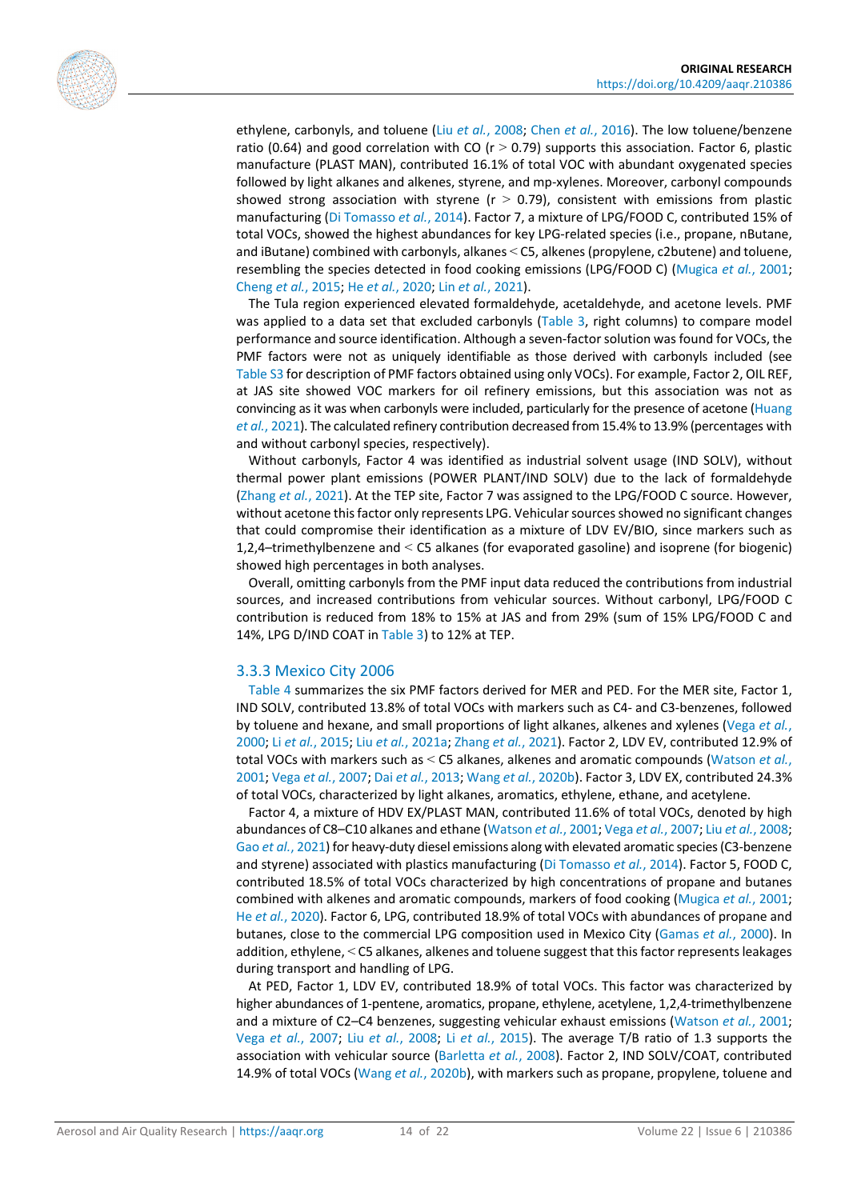

ethylene, carbonyls, and toluene (Liu *et al.*[, 2008;](#page-19-11) Chen *et al.*[, 2016\)](#page-16-10). The low toluene/benzene ratio (0.64) and good correlation with CO ( $r > 0.79$ ) supports this association. Factor 6, plastic manufacture (PLAST MAN), contributed 16.1% of total VOC with abundant oxygenated species followed by light alkanes and alkenes, styrene, and mp-xylenes. Moreover, carbonyl compounds showed strong association with styrene ( $r > 0.79$ ), consistent with emissions from plastic manufacturing [\(Di Tomasso](#page-17-13) *et al.*, 2014). Factor 7, a mixture of LPG/FOOD C, contributed 15% of total VOCs, showed the highest abundances for key LPG-related species (i.e., propane, nButane, and iButane) combined with carbonyls, alkanes < C5, alkenes (propylene, c2butene) and toluene, resembling the species detected in food cooking emissions (LPG/FOOD C) [\(Mugica](#page-19-17) *et al.*, 2001; [Cheng](#page-16-8) *et al.*, 2015; He *et al.*[, 2020;](#page-18-13) Lin *et al.*[, 2021\)](#page-18-14).

The Tula region experienced elevated formaldehyde, acetaldehyde, and acetone levels. PMF was applied to a data set that excluded carbonyls [\(Table 3,](#page-11-0) right columns) to compare model performance and source identification. Although a seven-factor solution was found for VOCs, the PMF factors were not as uniquely identifiable as those derived with carbonyls included (see [Table](https://doi.org/10.4209/aaqr.210386) S3 for description of PMF factors obtained using only VOCs). For example, Factor 2, OIL REF, at JAS site showed VOC markers for oil refinery emissions, but this association was not as convincing as it was when carbonyls were included, particularly for the presence of acetone [\(Huang](#page-18-12)  *et al.*[, 2021\)](#page-18-12). The calculated refinery contribution decreased from 15.4% to 13.9% (percentages with and without carbonyl species, respectively).

Without carbonyls, Factor 4 was identified as industrial solvent usage (IND SOLV), without thermal power plant emissions (POWER PLANT/IND SOLV) due to the lack of formaldehyde [\(Zhang](#page-21-2) *et al.*, 2021). At the TEP site, Factor 7 was assigned to the LPG/FOOD C source. However, without acetone this factor only represents LPG. Vehicular sources showed no significant changes that could compromise their identification as a mixture of LDV EV/BIO, since markers such as 1,2,4–trimethylbenzene and < C5 alkanes (for evaporated gasoline) and isoprene (for biogenic) showed high percentages in both analyses.

Overall, omitting carbonyls from the PMF input data reduced the contributions from industrial sources, and increased contributions from vehicular sources. Without carbonyl, LPG/FOOD C contribution is reduced from 18% to 15% at JAS and from 29% (sum of 15% LPG/FOOD C and 14%, LPG D/IND COAT in [Table 3\)](#page-11-0) to 12% at TEP.

#### 3.3.3 Mexico City 2006

[Table 4](#page-11-1) summarizes the six PMF factors derived for MER and PED. For the MER site, Factor 1, IND SOLV, contributed 13.8% of total VOCs with markers such as C4- and C3-benzenes, followed by toluene and hexane, and small proportions of light alkanes, alkenes and xylenes [\(Vega](#page-20-1) *et al.*, [2000;](#page-20-1) Li *et al.*[, 2015;](#page-18-10) Liu *et al.*[, 2021a;](#page-19-15) [Zhang](#page-21-2) *et al.*, 2021). Factor 2, LDV EV, contributed 12.9% of total VOCs with markers such as < C5 alkanes, alkenes and aromatic compounds [\(Watson](#page-21-0) *et al.*, [2001;](#page-21-0) Vega *et al.*[, 2007;](#page-20-12) Dai *et al.*[, 2013;](#page-16-9) Wang *et al.*[, 2020b\)](#page-21-4). Factor 3, LDV EX, contributed 24.3% of total VOCs, characterized by light alkanes, aromatics, ethylene, ethane, and acetylene.

Factor 4, a mixture of HDV EX/PLAST MAN, contributed 11.6% of total VOCs, denoted by high abundances of C8–C10 alkanes and ethane [\(Watson](#page-21-0) *et al.*, 2001; Vega *et al.*[, 2007;](#page-20-12) Liu *et al.*[, 2008;](#page-19-11) Gao *et al.*[, 2021\)](#page-17-12) for heavy-duty diesel emissions along with elevated aromatic species (C3-benzene and styrene) associated with plastics manufacturing [\(Di Tomasso](#page-17-13) *et al.*, 2014). Factor 5, FOOD C, contributed 18.5% of total VOCs characterized by high concentrations of propane and butanes combined with alkenes and aromatic compounds, markers of food cooking [\(Mugica](#page-19-17) *et al.*, 2001; He *et al.*[, 2020\)](#page-18-13). Factor 6, LPG, contributed 18.9% of total VOCs with abundances of propane and butanes, close to the commercial LPG composition used in Mexico City [\(Gamas](#page-17-10) *et al.*, 2000). In addition, ethylene, < C5 alkanes, alkenes and toluene suggest that this factor represents leakages during transport and handling of LPG.

At PED, Factor 1, LDV EV, contributed 18.9% of total VOCs. This factor was characterized by higher abundances of 1-pentene, aromatics, propane, ethylene, acetylene, 1,2,4-trimethylbenzene and a mixture of C2–C4 benzenes, suggesting vehicular exhaust emissions [\(Watson](#page-21-0) *et al.*, 2001; Vega *et al.*[, 2007;](#page-20-12) Liu *et al.*[, 2008;](#page-19-11) Li *et al.*[, 2015\)](#page-18-10). The average T/B ratio of 1.3 supports the association with vehicular source [\(Barletta](#page-16-11) *et al.*, 2008). Factor 2, IND SOLV/COAT, contributed 14.9% of total VOCs (Wang *et al.*[, 2020b\)](#page-21-4), with markers such as propane, propylene, toluene and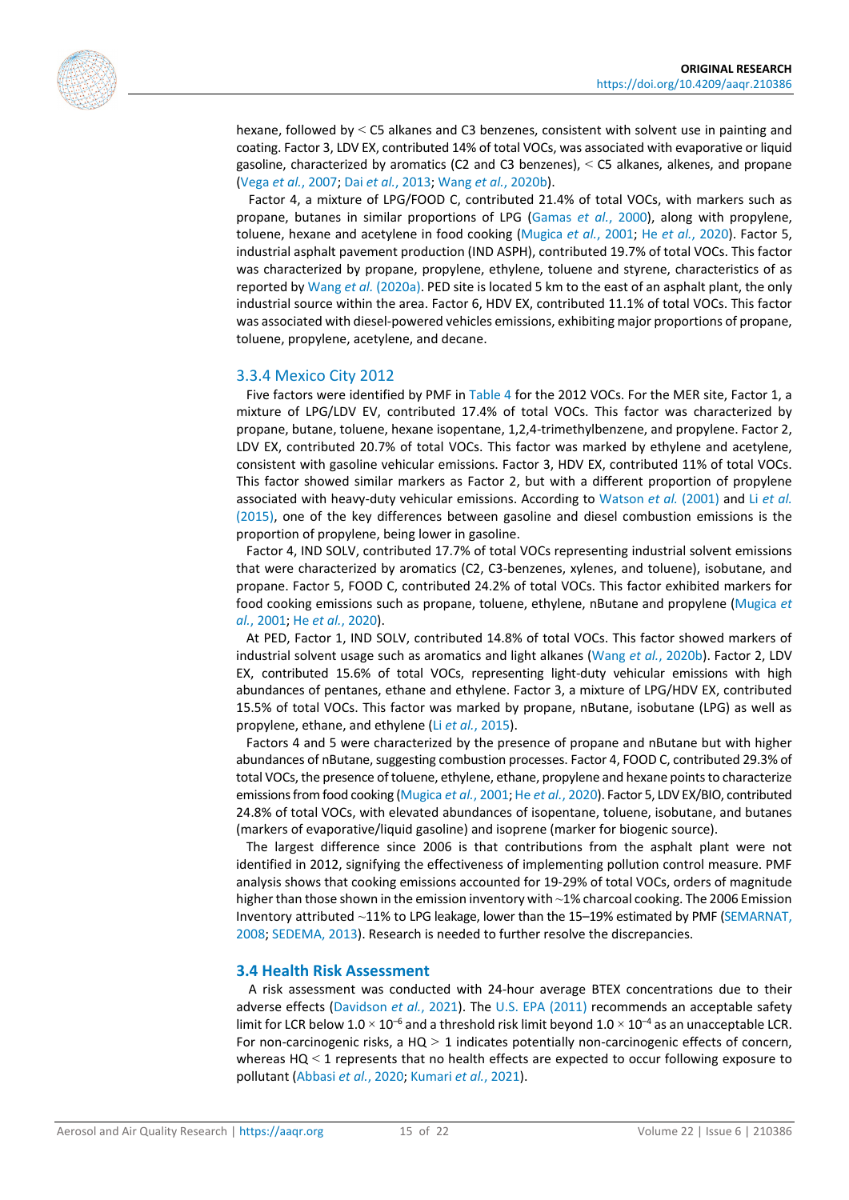

hexane, followed by < C5 alkanes and C3 benzenes, consistent with solvent use in painting and coating. Factor 3, LDV EX, contributed 14% of total VOCs, was associated with evaporative or liquid gasoline, characterized by aromatics (C2 and C3 benzenes), < C5 alkanes, alkenes, and propane (Vega *et al.*[, 2007;](#page-20-12) Dai *et al.*[, 2013;](#page-16-9) Wang *et al.*[, 2020b\)](#page-21-4).

Factor 4, a mixture of LPG/FOOD C, contributed 21.4% of total VOCs, with markers such as propane, butanes in similar proportions of LPG [\(Gamas](#page-17-10) *et al.*, 2000), along with propylene, toluene, hexane and acetylene in food cooking [\(Mugica](#page-19-17) *et al.*, 2001; He *et al.*[, 2020\)](#page-18-13). Factor 5, industrial asphalt pavement production (IND ASPH), contributed 19.7% of total VOCs. This factor was characterized by propane, propylene, ethylene, toluene and styrene, characteristics of as reported by Wang *et al.* [\(2020a\).](#page-21-5) PED site is located 5 km to the east of an asphalt plant, the only industrial source within the area. Factor 6, HDV EX, contributed 11.1% of total VOCs. This factor was associated with diesel-powered vehicles emissions, exhibiting major proportions of propane, toluene, propylene, acetylene, and decane.

#### 3.3.4 Mexico City 2012

Five factors were identified by PMF in [Table 4](#page-11-1) for the 2012 VOCs. For the MER site, Factor 1, a mixture of LPG/LDV EV, contributed 17.4% of total VOCs. This factor was characterized by propane, butane, toluene, hexane isopentane, 1,2,4-trimethylbenzene, and propylene. Factor 2, LDV EX, contributed 20.7% of total VOCs. This factor was marked by ethylene and acetylene, consistent with gasoline vehicular emissions. Factor 3, HDV EX, contributed 11% of total VOCs. This factor showed similar markers as Factor 2, but with a different proportion of propylene associated with heavy-duty vehicular emissions. According to [Watson](#page-21-0) *et al.* (2001) and Li *[et al.](#page-18-10)* [\(2015\),](#page-18-10) one of the key differences between gasoline and diesel combustion emissions is the proportion of propylene, being lower in gasoline.

Factor 4, IND SOLV, contributed 17.7% of total VOCs representing industrial solvent emissions that were characterized by aromatics (C2, C3-benzenes, xylenes, and toluene), isobutane, and propane. Factor 5, FOOD C, contributed 24.2% of total VOCs. This factor exhibited markers for food cooking emissions such as propane, toluene, ethylene, nButane and propylene [\(Mugica](#page-19-17) *et al.*[, 2001;](#page-19-17) He *et al.*[, 2020\)](#page-18-13).

At PED, Factor 1, IND SOLV, contributed 14.8% of total VOCs. This factor showed markers of industrial solvent usage such as aromatics and light alkanes (Wang *et al.*[, 2020b\)](#page-21-4). Factor 2, LDV EX, contributed 15.6% of total VOCs, representing light-duty vehicular emissions with high abundances of pentanes, ethane and ethylene. Factor 3, a mixture of LPG/HDV EX, contributed 15.5% of total VOCs. This factor was marked by propane, nButane, isobutane (LPG) as well as propylene, ethane, and ethylene (Li *et al.*[, 2015\)](#page-18-10).

Factors 4 and 5 were characterized by the presence of propane and nButane but with higher abundances of nButane, suggesting combustion processes. Factor 4, FOOD C, contributed 29.3% of total VOCs, the presence of toluene, ethylene, ethane, propylene and hexane points to characterize emissions from food cooking [\(Mugica](#page-19-17) *et al.*, 2001; He *et al.*[, 2020\)](#page-18-13). Factor 5, LDV EX/BIO, contributed 24.8% of total VOCs, with elevated abundances of isopentane, toluene, isobutane, and butanes (markers of evaporative/liquid gasoline) and isoprene (marker for biogenic source).

The largest difference since 2006 is that contributions from the asphalt plant were not identified in 2012, signifying the effectiveness of implementing pollution control measure. PMF analysis shows that cooking emissions accounted for 19-29% of total VOCs, orders of magnitude higher than those shown in the emission inventory with ~1% charcoal cooking. The 2006 Emission Inventory attributed ~11% to LPG leakage, lower than the 15–19% estimated by PMF [\(SEMARNAT,](#page-20-15)  [2008;](#page-20-15) [SEDEMA, 2013\)](#page-20-16). Research is needed to further resolve the discrepancies.

#### **3.4 Health Risk Assessment**

A risk assessment was conducted with 24-hour average BTEX concentrations due to their adverse effects [\(Davidson](#page-16-12) *et al.*, 2021). The U.S. [EPA \(2011\)](#page-20-11) recommends an acceptable safety limit for LCR below 1.0  $\times$  10<sup>-6</sup> and a threshold risk limit beyond 1.0  $\times$  10<sup>-4</sup> as an unacceptable LCR. For non-carcinogenic risks, a HQ *>* 1 indicates potentially non-carcinogenic effects of concern, whereas HQ < 1 represents that no health effects are expected to occur following exposure to pollutant [\(Abbasi](#page-16-3) *et al.*, 2020; [Kumari](#page-18-15) *et al.*, 2021).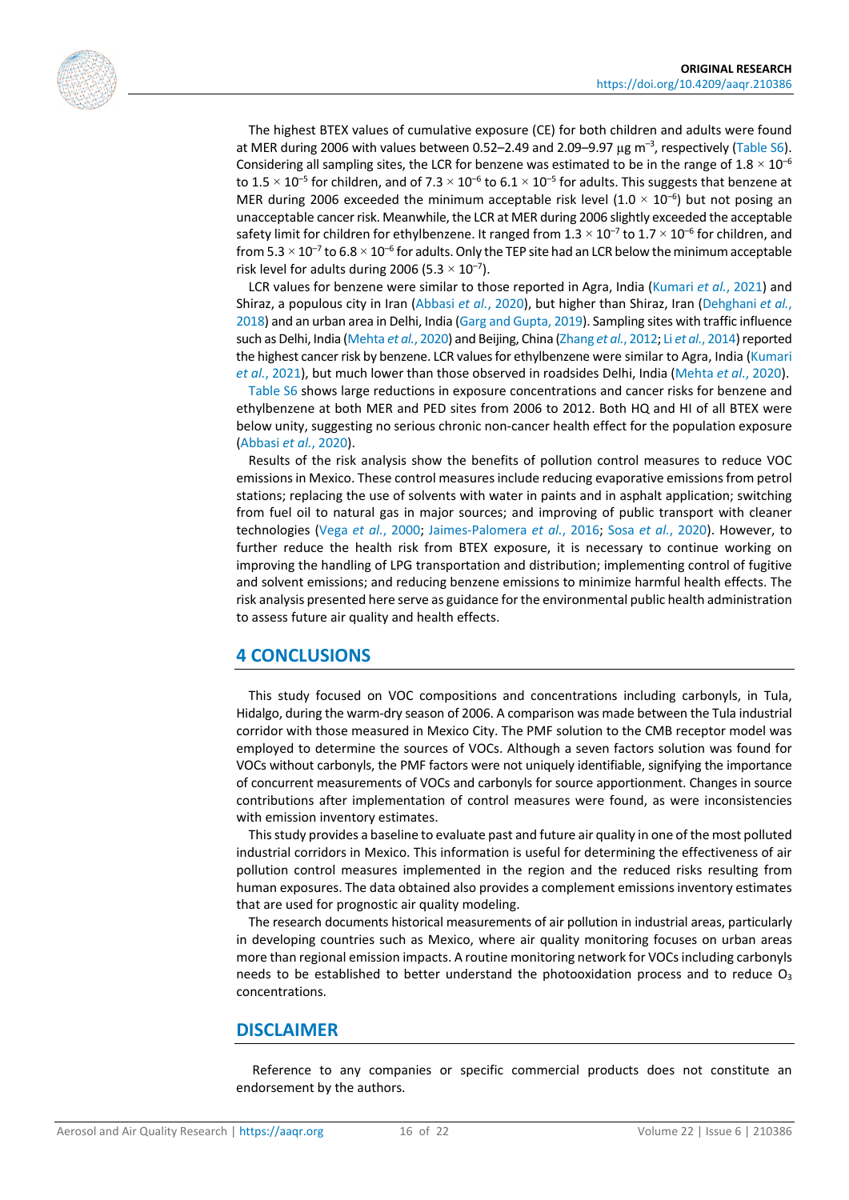

The highest BTEX values of cumulative exposure (CE) for both children and adults were found at MER during 2006 with values between 0.52–2.49 and 2.09–9.97  $\mu$ g m<sup>-3</sup>, respectively [\(Table S6\)](https://doi.org/10.4209/aaqr.210386). Considering all sampling sites, the LCR for benzene was estimated to be in the range of  $1.8 \times 10^{-6}$ to 1.5  $\times$  10<sup>-5</sup> for children, and of 7.3  $\times$  10<sup>-6</sup> to 6.1  $\times$  10<sup>-5</sup> for adults. This suggests that benzene at MER during 2006 exceeded the minimum acceptable risk level (1.0  $\times$  10<sup>-6</sup>) but not posing an unacceptable cancer risk. Meanwhile, the LCR at MER during 2006 slightly exceeded the acceptable safety limit for children for ethylbenzene. It ranged from  $1.3 \times 10^{-7}$  to  $1.7 \times 10^{-6}$  for children, and from  $5.3 \times 10^{-7}$  to  $6.8 \times 10^{-6}$  for adults. Only the TEP site had an LCR below the minimum acceptable risk level for adults during 2006 (5.3  $\times$  10<sup>-7</sup>).

LCR values for benzene were similar to those reported in Agra, India [\(Kumari](#page-18-15) *et al.*, 2021) and Shiraz, a populous city in Iran [\(Abbasi](#page-16-3) *et al.*, 2020), but higher than Shiraz, Iran [\(Dehghani](#page-17-3) *et al.*, [2018\)](#page-17-3) and an urban area in Delhi, India [\(Garg and Gupta, 2019\)](#page-17-15). Sampling sites with traffic influence such as Delhi, India [\(Mehta](#page-19-18) *et al.*, 2020) and Beijing, China [\(Zhang](#page-21-6) *et al.*, 2012; Li *et al.*[, 2014\)](#page-18-16) reported the highest cancer risk by benzene. LCR values for ethylbenzene were similar to Agra, India (Kumari *et al.*[, 2021\)](#page-18-15), but much lower than those observed in roadsides Delhi, India [\(Mehta](#page-19-18) *et al.*, 2020).

[Table S6](https://doi.org/10.4209/aaqr.210386) shows large reductions in exposure concentrations and cancer risks for benzene and ethylbenzene at both MER and PED sites from 2006 to 2012. Both HQ and HI of all BTEX were below unity, suggesting no serious chronic non-cancer health effect for the population exposure [\(Abbasi](#page-16-3) *et al.*, 2020).

Results of the risk analysis show the benefits of pollution control measures to reduce VOC emissions in Mexico. These control measures include reducing evaporative emissions from petrol stations; replacing the use of solvents with water in paints and in asphalt application; switching from fuel oil to natural gas in major sources; and improving of public transport with cleaner technologies (Vega *et al.*[, 2000;](#page-20-1) [Jaimes-Palomera](#page-18-0) *et al.*, 2016; Sosa *et al.*[, 2020\)](#page-20-4). However, to further reduce the health risk from BTEX exposure, it is necessary to continue working on improving the handling of LPG transportation and distribution; implementing control of fugitive and solvent emissions; and reducing benzene emissions to minimize harmful health effects. The risk analysis presented here serve as guidance for the environmental public health administration to assess future air quality and health effects.

#### **4 CONCLUSIONS**

This study focused on VOC compositions and concentrations including carbonyls, in Tula, Hidalgo, during the warm-dry season of 2006. A comparison was made between the Tula industrial corridor with those measured in Mexico City. The PMF solution to the CMB receptor model was employed to determine the sources of VOCs. Although a seven factors solution was found for VOCs without carbonyls, the PMF factors were not uniquely identifiable, signifying the importance of concurrent measurements of VOCs and carbonyls for source apportionment. Changes in source contributions after implementation of control measures were found, as were inconsistencies with emission inventory estimates.

This study provides a baseline to evaluate past and future air quality in one of the most polluted industrial corridors in Mexico. This information is useful for determining the effectiveness of air pollution control measures implemented in the region and the reduced risks resulting from human exposures. The data obtained also provides a complement emissions inventory estimates that are used for prognostic air quality modeling.

The research documents historical measurements of air pollution in industrial areas, particularly in developing countries such as Mexico, where air quality monitoring focuses on urban areas more than regional emission impacts. A routine monitoring network for VOCs including carbonyls needs to be established to better understand the photooxidation process and to reduce  $O<sub>3</sub>$ concentrations.

#### **DISCLAIMER**

Reference to any companies or specific commercial products does not constitute an endorsement by the authors.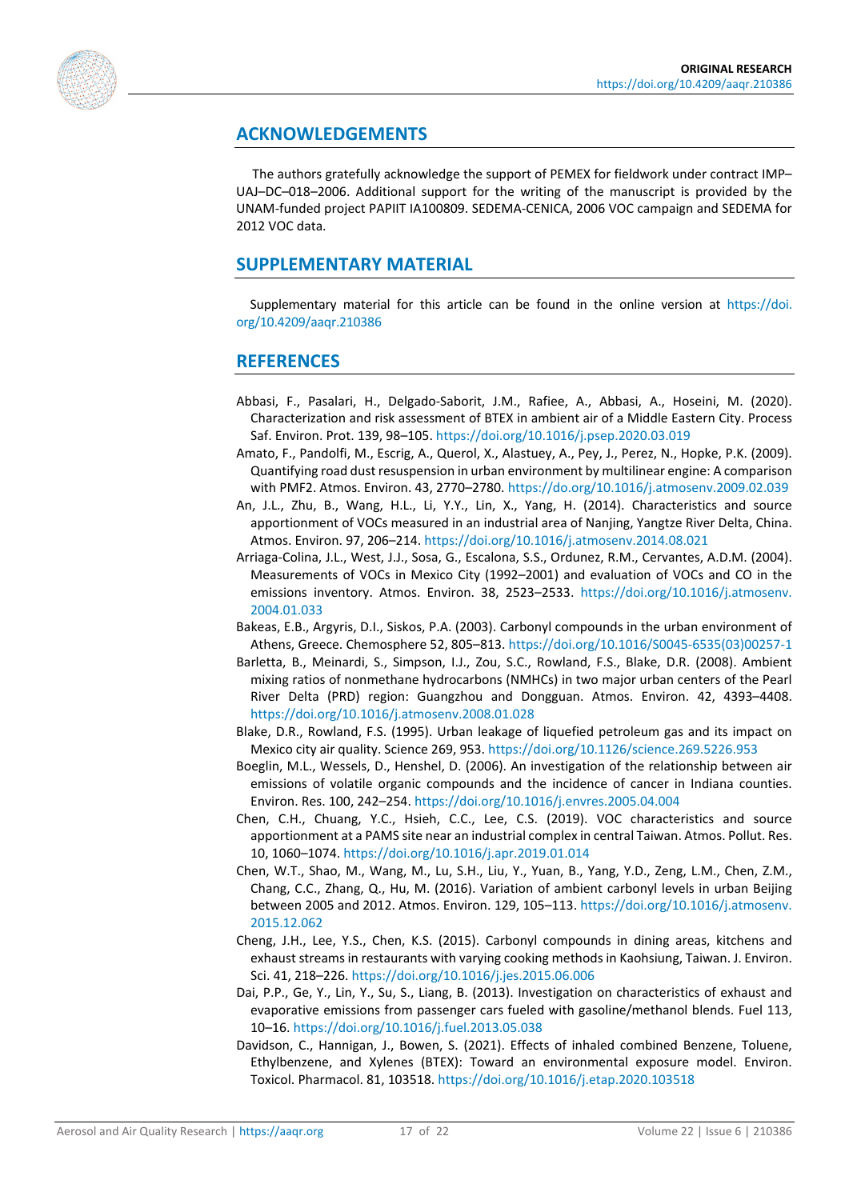

## **ACKNOWLEDGEMENTS**

The authors gratefully acknowledge the support of PEMEX for fieldwork under contract IMP– UAJ–DC–018–2006. Additional support for the writing of the manuscript is provided by the UNAM-funded project PAPIIT IA100809. SEDEMA-CENICA, 2006 VOC campaign and SEDEMA for 2012 VOC data.

### **SUPPLEMENTARY MATERIAL**

Supplementary material for this article can be found in the online version at [https://doi.](https://doi.org/10.4209/aaqr.210386) [org/10.4209/aaqr.210386](https://doi.org/10.4209/aaqr.210386)

#### **REFERENCES**

- <span id="page-16-3"></span>Abbasi, F., Pasalari, H., Delgado-Saborit, J.M., Rafiee, A., Abbasi, A., Hoseini, M. (2020). Characterization and risk assessment of BTEX in ambient air of a Middle Eastern City. Process Saf. Environ. Prot. 139, 98–105. <https://doi.org/10.1016/j.psep.2020.03.019>
- <span id="page-16-2"></span>Amato, F., Pandolfi, M., Escrig, A., Querol, X., Alastuey, A., Pey, J., Perez, N., Hopke, P.K. (2009). Quantifying road dust resuspension in urban environment by multilinear engine: A comparison with PMF2. Atmos. Environ. 43, 2770–2780. <https://do.org/10.1016/j.atmosenv.2009.02.039>
- <span id="page-16-4"></span>An, J.L., Zhu, B., Wang, H.L., Li, Y.Y., Lin, X., Yang, H. (2014). Characteristics and source apportionment of VOCs measured in an industrial area of Nanjing, Yangtze River Delta, China. Atmos. Environ. 97, 206–214. <https://doi.org/10.1016/j.atmosenv.2014.08.021>
- <span id="page-16-1"></span>Arriaga-Colina, J.L., West, J.J., Sosa, G., Escalona, S.S., Ordunez, R.M., Cervantes, A.D.M. (2004). Measurements of VOCs in Mexico City (1992–2001) and evaluation of VOCs and CO in the emissions inventory. Atmos. Environ. 38, 2523–2533. [https://doi.org/10.1016/j.atmosenv.](https://doi.org/10.1016/j.atmosenv.2004.01.033) [2004.01.033](https://doi.org/10.1016/j.atmosenv.2004.01.033)
- <span id="page-16-6"></span>Bakeas, E.B., Argyris, D.I., Siskos, P.A. (2003). Carbonyl compounds in the urban environment of Athens, Greece. Chemosphere 52, 805–813. [https://doi.org/10.1016/S0045-6535\(03\)00257-1](https://doi.org/10.1016/S0045-6535(03)00257-1)
- <span id="page-16-11"></span>Barletta, B., Meinardi, S., Simpson, I.J., Zou, S.C., Rowland, F.S., Blake, D.R. (2008). Ambient mixing ratios of nonmethane hydrocarbons (NMHCs) in two major urban centers of the Pearl River Delta (PRD) region: Guangzhou and Dongguan. Atmos. Environ. 42, 4393–4408. <https://doi.org/10.1016/j.atmosenv.2008.01.028>
- <span id="page-16-5"></span>Blake, D.R., Rowland, F.S. (1995). Urban leakage of liquefied petroleum gas and its impact on Mexico city air quality. Science 269, 953. <https://doi.org/10.1126/science.269.5226.953>
- <span id="page-16-0"></span>Boeglin, M.L., Wessels, D., Henshel, D. (2006). An investigation of the relationship between air emissions of volatile organic compounds and the incidence of cancer in Indiana counties. Environ. Res. 100, 242–254. <https://doi.org/10.1016/j.envres.2005.04.004>
- <span id="page-16-7"></span>Chen, C.H., Chuang, Y.C., Hsieh, C.C., Lee, C.S. (2019). VOC characteristics and source apportionment at a PAMS site near an industrial complex in central Taiwan. Atmos. Pollut. Res. 10, 1060–1074. <https://doi.org/10.1016/j.apr.2019.01.014>
- <span id="page-16-10"></span>Chen, W.T., Shao, M., Wang, M., Lu, S.H., Liu, Y., Yuan, B., Yang, Y.D., Zeng, L.M., Chen, Z.M., Chang, C.C., Zhang, Q., Hu, M. (2016). Variation of ambient carbonyl levels in urban Beijing between 2005 and 2012. Atmos. Environ. 129, 105–113. [https://doi.org/10.1016/j.atmosenv.](https://doi.org/10.1016/j.atmosenv.2015.12.062) [2015.12.062](https://doi.org/10.1016/j.atmosenv.2015.12.062)
- <span id="page-16-8"></span>Cheng, J.H., Lee, Y.S., Chen, K.S. (2015). Carbonyl compounds in dining areas, kitchens and exhaust streams in restaurants with varying cooking methods in Kaohsiung, Taiwan. J. Environ. Sci. 41, 218–226. <https://doi.org/10.1016/j.jes.2015.06.006>
- <span id="page-16-9"></span>Dai, P.P., Ge, Y., Lin, Y., Su, S., Liang, B. (2013). Investigation on characteristics of exhaust and evaporative emissions from passenger cars fueled with gasoline/methanol blends. Fuel 113, 10–16. <https://doi.org/10.1016/j.fuel.2013.05.038>
- <span id="page-16-12"></span>Davidson, C., Hannigan, J., Bowen, S. (2021). Effects of inhaled combined Benzene, Toluene, Ethylbenzene, and Xylenes (BTEX): Toward an environmental exposure model. Environ. Toxicol. Pharmacol. 81, 103518. <https://doi.org/10.1016/j.etap.2020.103518>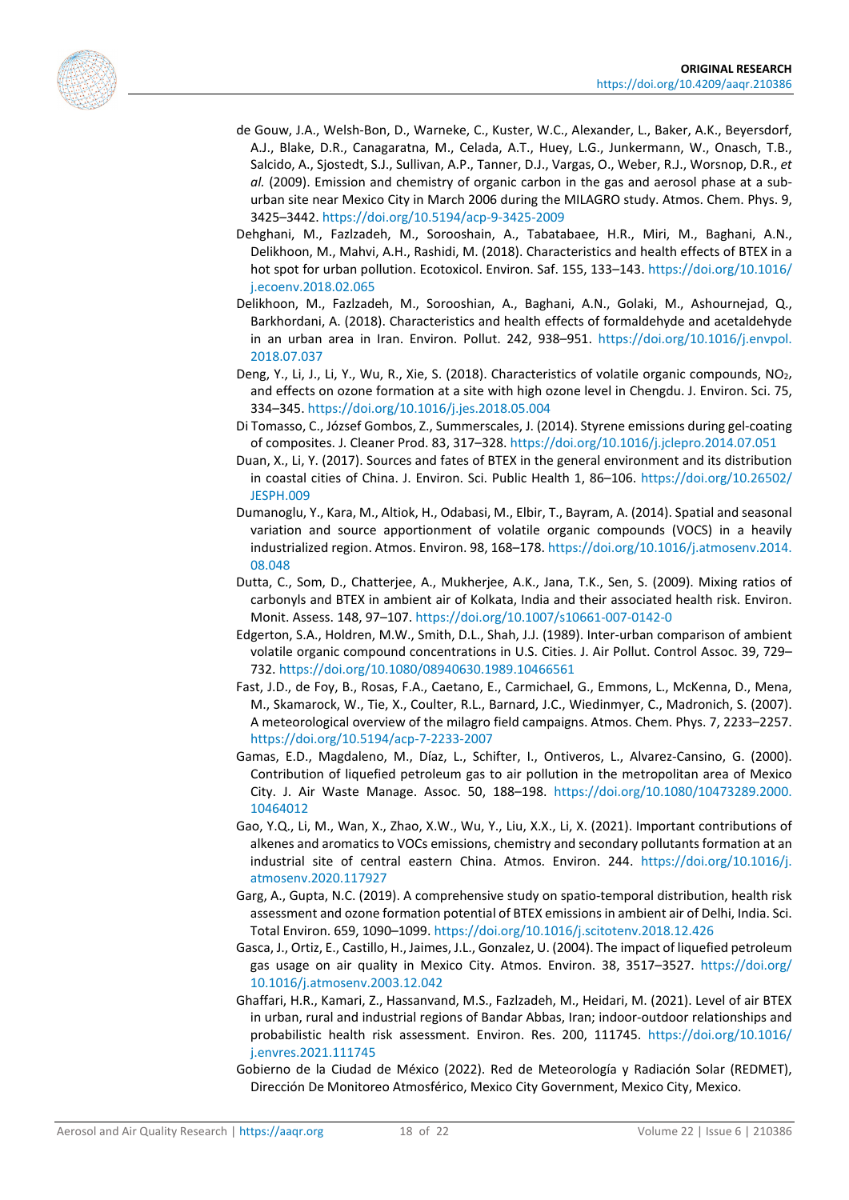<span id="page-17-5"></span><span id="page-17-3"></span>

- de Gouw, J.A., Welsh-Bon, D., Warneke, C., Kuster, W.C., Alexander, L., Baker, A.K., Beyersdorf, A.J., Blake, D.R., Canagaratna, M., Celada, A.T., Huey, L.G., Junkermann, W., Onasch, T.B., Salcido, A., Sjostedt, S.J., Sullivan, A.P., Tanner, D.J., Vargas, O., Weber, R.J., Worsnop, D.R., *et al.* (2009). Emission and chemistry of organic carbon in the gas and aerosol phase at a suburban site near Mexico City in March 2006 during the MILAGRO study. Atmos. Chem. Phys. 9, 3425–3442.<https://doi.org/10.5194/acp-9-3425-2009>
- Dehghani, M., Fazlzadeh, M., Sorooshain, A., Tabatabaee, H.R., Miri, M., Baghani, A.N., Delikhoon, M., Mahvi, A.H., Rashidi, M. (2018). Characteristics and health effects of BTEX in a hot spot for urban pollution. Ecotoxicol. Environ. Saf. 155, 133–143. [https://doi.org/10.1016/](https://doi.org/10.1016/j.ecoenv.2018.02.065) [j.ecoenv.2018.02.065](https://doi.org/10.1016/j.ecoenv.2018.02.065)
- <span id="page-17-8"></span>Delikhoon, M., Fazlzadeh, M., Sorooshian, A., Baghani, A.N., Golaki, M., Ashournejad, Q., Barkhordani, A. (2018). Characteristics and health effects of formaldehyde and acetaldehyde in an urban area in Iran. Environ. Pollut. 242, 938–951. [https://doi.org/10.1016/j.envpol.](https://doi.org/10.1016/j.envpol.2018.07.037) [2018.07.037](https://doi.org/10.1016/j.envpol.2018.07.037)
- <span id="page-17-14"></span>Deng, Y., Li, J., Li, Y., Wu, R., Xie, S. (2018). Characteristics of volatile organic compounds, NO<sub>2</sub>, and effects on ozone formation at a site with high ozone level in Chengdu. J. Environ. Sci. 75, 334–345. <https://doi.org/10.1016/j.jes.2018.05.004>
- <span id="page-17-13"></span>Di Tomasso, C., József Gombos, Z., Summerscales, J. (2014). Styrene emissions during gel-coating of composites. J. Cleaner Prod. 83, 317–328. <https://doi.org/10.1016/j.jclepro.2014.07.051>
- <span id="page-17-7"></span>Duan, X., Li, Y. (2017). Sources and fates of BTEX in the general environment and its distribution in coastal cities of China. J. Environ. Sci. Public Health 1, 86–106. [https://doi.org/10.26502/](https://doi.org/10.26502/JESPH.009) [JESPH.009](https://doi.org/10.26502/JESPH.009)
- <span id="page-17-0"></span>Dumanoglu, Y., Kara, M., Altiok, H., Odabasi, M., Elbir, T., Bayram, A. (2014). Spatial and seasonal variation and source apportionment of volatile organic compounds (VOCS) in a heavily industrialized region. Atmos. Environ. 98, 168–178. [https://doi.org/10.1016/j.atmosenv.2014.](https://doi.org/10.1016/j.atmosenv.2014.08.048) [08.048](https://doi.org/10.1016/j.atmosenv.2014.08.048)
- <span id="page-17-11"></span>Dutta, C., Som, D., Chatterjee, A., Mukherjee, A.K., Jana, T.K., Sen, S. (2009). Mixing ratios of carbonyls and BTEX in ambient air of Kolkata, India and their associated health risk. Environ. Monit. Assess. 148, 97–107[. https://doi.org/10.1007/s10661-007-0142-0](https://doi.org/10.1007/s10661-007-0142-0)
- <span id="page-17-6"></span>Edgerton, S.A., Holdren, M.W., Smith, D.L., Shah, J.J. (1989). Inter-urban comparison of ambient volatile organic compound concentrations in U.S. Cities. J. Air Pollut. Control Assoc. 39, 729– 732. <https://doi.org/10.1080/08940630.1989.10466561>
- <span id="page-17-1"></span>Fast, J.D., de Foy, B., Rosas, F.A., Caetano, E., Carmichael, G., Emmons, L., McKenna, D., Mena, M., Skamarock, W., Tie, X., Coulter, R.L., Barnard, J.C., Wiedinmyer, C., Madronich, S. (2007). A meteorological overview of the milagro field campaigns. Atmos. Chem. Phys. 7, 2233–2257. <https://doi.org/10.5194/acp-7-2233-2007>
- <span id="page-17-10"></span>Gamas, E.D., Magdaleno, M., Díaz, L., Schifter, I., Ontiveros, L., Alvarez-Cansino, G. (2000). Contribution of liquefied petroleum gas to air pollution in the metropolitan area of Mexico City. J. Air Waste Manage. Assoc. 50, 188–198. [https://doi.org/10.1080/10473289.2000.](https://doi.org/10.1080/10473289.2000.10464012) [10464012](https://doi.org/10.1080/10473289.2000.10464012)
- <span id="page-17-12"></span>Gao, Y.Q., Li, M., Wan, X., Zhao, X.W., Wu, Y., Liu, X.X., Li, X. (2021). Important contributions of alkenes and aromatics to VOCs emissions, chemistry and secondary pollutants formation at an industrial site of central eastern China. Atmos. Environ. 244. [https://doi.org/10.1016/j.](https://doi.org/10.1016/j.atmosenv.2020.117927) [atmosenv.2020.117927](https://doi.org/10.1016/j.atmosenv.2020.117927)
- <span id="page-17-15"></span>Garg, A., Gupta, N.C. (2019). A comprehensive study on spatio-temporal distribution, health risk assessment and ozone formation potential of BTEX emissions in ambient air of Delhi, India. Sci. Total Environ. 659, 1090–1099[. https://doi.org/10.1016/j.scitotenv.2018.12.426](https://doi.org/10.1016/j.scitotenv.2018.12.426)
- <span id="page-17-9"></span>Gasca, J., Ortiz, E., Castillo, H., Jaimes, J.L., Gonzalez, U. (2004). The impact of liquefied petroleum gas usage on air quality in Mexico City. Atmos. Environ. 38, 3517–3527. [https://doi.org/](https://doi.org/10.1016/j.atmosenv.2003.12.042) [10.1016/j.atmosenv.2003.12.042](https://doi.org/10.1016/j.atmosenv.2003.12.042)
- <span id="page-17-4"></span>Ghaffari, H.R., Kamari, Z., Hassanvand, M.S., Fazlzadeh, M., Heidari, M. (2021). Level of air BTEX in urban, rural and industrial regions of Bandar Abbas, Iran; indoor-outdoor relationships and probabilistic health risk assessment. Environ. Res. 200, 111745. [https://doi.org/10.1016/](https://doi.org/10.1016/j.envres.2021.111745) [j.envres.2021.111745](https://doi.org/10.1016/j.envres.2021.111745)
- <span id="page-17-2"></span>Gobierno de la Ciudad de México (2022). Red de Meteorología y Radiación Solar (REDMET), Dirección De Monitoreo Atmosférico, Mexico City Government, Mexico City, Mexico.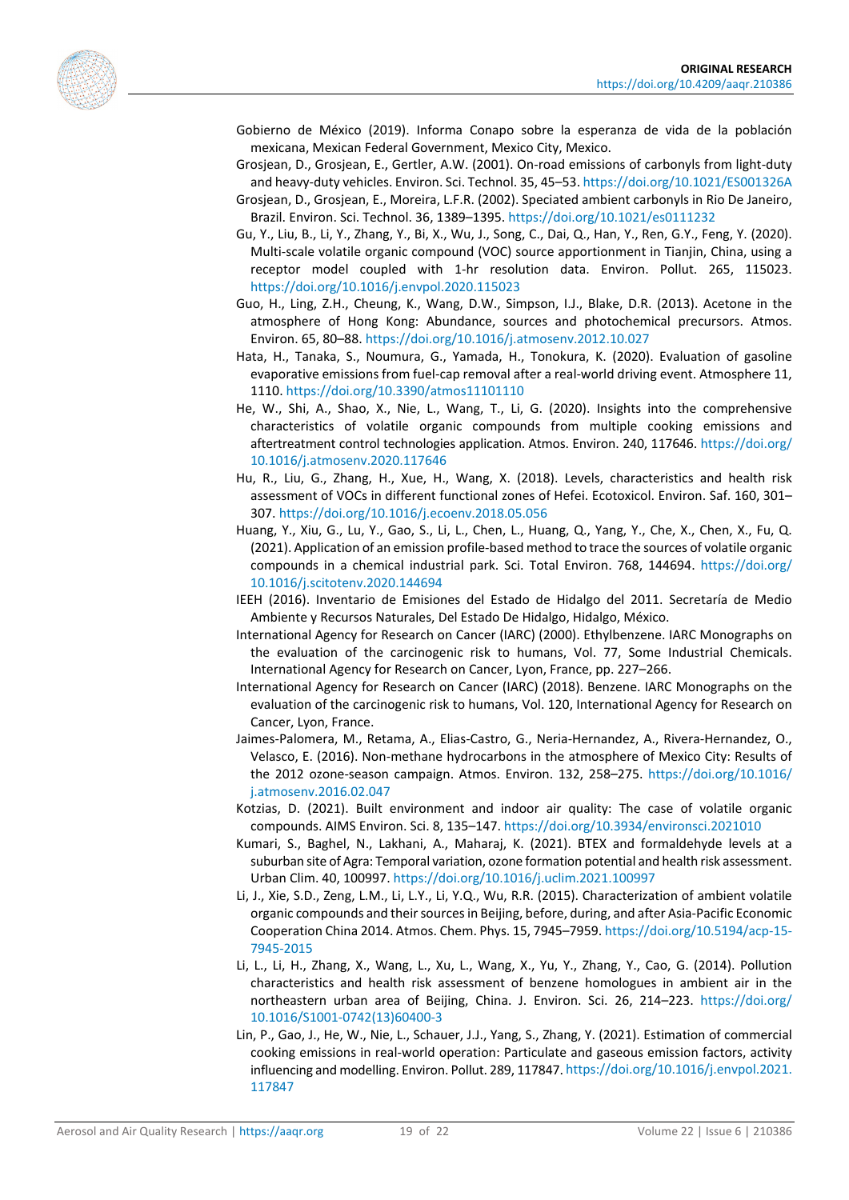<span id="page-18-9"></span><span id="page-18-8"></span><span id="page-18-6"></span><span id="page-18-5"></span>

- Gobierno de México (2019). Informa Conapo sobre la esperanza de vida de la población mexicana, Mexican Federal Government, Mexico City, Mexico.
- Grosjean, D., Grosjean, E., Gertler, A.W. (2001). On-road emissions of carbonyls from light-duty and heavy-duty vehicles. Environ. Sci. Technol. 35, 45–53. <https://doi.org/10.1021/ES001326A>
- Grosjean, D., Grosjean, E., Moreira, L.F.R. (2002). Speciated ambient carbonyls in Rio De Janeiro, Brazil. Environ. Sci. Technol. 36, 1389–1395. <https://doi.org/10.1021/es0111232>
- Gu, Y., Liu, B., Li, Y., Zhang, Y., Bi, X., Wu, J., Song, C., Dai, Q., Han, Y., Ren, G.Y., Feng, Y. (2020). Multi-scale volatile organic compound (VOC) source apportionment in Tianjin, China, using a receptor model coupled with 1-hr resolution data. Environ. Pollut. 265, 115023. <https://doi.org/10.1016/j.envpol.2020.115023>
- <span id="page-18-11"></span>Guo, H., Ling, Z.H., Cheung, K., Wang, D.W., Simpson, I.J., Blake, D.R. (2013). Acetone in the atmosphere of Hong Kong: Abundance, sources and photochemical precursors. Atmos. Environ. 65, 80–88[. https://doi.org/10.1016/j.atmosenv.2012.10.027](https://doi.org/10.1016/j.atmosenv.2012.10.027)
- <span id="page-18-7"></span>Hata, H., Tanaka, S., Noumura, G., Yamada, H., Tonokura, K. (2020). Evaluation of gasoline evaporative emissions from fuel-cap removal after a real-world driving event. Atmosphere 11, 1110.<https://doi.org/10.3390/atmos11101110>
- <span id="page-18-13"></span>He, W., Shi, A., Shao, X., Nie, L., Wang, T., Li, G. (2020). Insights into the comprehensive characteristics of volatile organic compounds from multiple cooking emissions and aftertreatment control technologies application. Atmos. Environ. 240, 117646[. https://doi.org/](https://doi.org/10.1016/j.atmosenv.2020.117646) [10.1016/j.atmosenv.2020.117646](https://doi.org/10.1016/j.atmosenv.2020.117646)
- <span id="page-18-2"></span>Hu, R., Liu, G., Zhang, H., Xue, H., Wang, X. (2018). Levels, characteristics and health risk assessment of VOCs in different functional zones of Hefei. Ecotoxicol. Environ. Saf. 160, 301– 307[. https://doi.org/10.1016/j.ecoenv.2018.05.056](https://doi.org/10.1016/j.ecoenv.2018.05.056)
- <span id="page-18-12"></span>Huang, Y., Xiu, G., Lu, Y., Gao, S., Li, L., Chen, L., Huang, Q., Yang, Y., Che, X., Chen, X., Fu, Q. (2021). Application of an emission profile-based method to trace the sources of volatile organic compounds in a chemical industrial park. Sci. Total Environ. 768, 144694. [https://doi.org/](https://doi.org/10.1016/j.scitotenv.2020.144694) [10.1016/j.scitotenv.2020.144694](https://doi.org/10.1016/j.scitotenv.2020.144694)
- <span id="page-18-1"></span>IEEH (2016). Inventario de Emisiones del Estado de Hidalgo del 2011. Secretaría de Medio Ambiente y Recursos Naturales, Del Estado De Hidalgo, Hidalgo, México.
- <span id="page-18-3"></span>International Agency for Research on Cancer (IARC) (2000). Ethylbenzene. IARC Monographs on the evaluation of the carcinogenic risk to humans, Vol. 77, Some Industrial Chemicals. International Agency for Research on Cancer, Lyon, France, pp. 227–266.
- <span id="page-18-4"></span>International Agency for Research on Cancer (IARC) (2018). Benzene. IARC Monographs on the evaluation of the carcinogenic risk to humans, Vol. 120, International Agency for Research on Cancer, Lyon, France.
- <span id="page-18-0"></span>Jaimes-Palomera, M., Retama, A., Elias-Castro, G., Neria-Hernandez, A., Rivera-Hernandez, O., Velasco, E. (2016). Non-methane hydrocarbons in the atmosphere of Mexico City: Results of the 2012 ozone-season campaign. Atmos. Environ. 132, 258–275. [https://doi.org/10.1016/](https://doi.org/10.1016/j.atmosenv.2016.02.047) [j.atmosenv.2016.02.047](https://doi.org/10.1016/j.atmosenv.2016.02.047)
- Kotzias, D. (2021). Built environment and indoor air quality: The case of volatile organic compounds. AIMS Environ. Sci. 8, 135–147. <https://doi.org/10.3934/environsci.2021010>
- <span id="page-18-15"></span>Kumari, S., Baghel, N., Lakhani, A., Maharaj, K. (2021). BTEX and formaldehyde levels at a suburban site of Agra: Temporal variation, ozone formation potential and health risk assessment. Urban Clim. 40, 100997. <https://doi.org/10.1016/j.uclim.2021.100997>
- <span id="page-18-10"></span>Li, J., Xie, S.D., Zeng, L.M., Li, L.Y., Li, Y.Q., Wu, R.R. (2015). Characterization of ambient volatile organic compounds and their sources in Beijing, before, during, and after Asia-Pacific Economic Cooperation China 2014. Atmos. Chem. Phys. 15, 7945–7959[. https://doi.org/10.5194/acp-15-](https://doi.org/10.5194/acp-15-7945-2015) [7945-2015](https://doi.org/10.5194/acp-15-7945-2015)
- <span id="page-18-16"></span>Li, L., Li, H., Zhang, X., Wang, L., Xu, L., Wang, X., Yu, Y., Zhang, Y., Cao, G. (2014). Pollution characteristics and health risk assessment of benzene homologues in ambient air in the northeastern urban area of Beijing, China. J. Environ. Sci. 26, 214–223. [https://doi.org/](https://doi.org/10.1016/S1001-0742(13)60400-3) [10.1016/S1001-0742\(13\)60400-3](https://doi.org/10.1016/S1001-0742(13)60400-3)
- <span id="page-18-14"></span>Lin, P., Gao, J., He, W., Nie, L., Schauer, J.J., Yang, S., Zhang, Y. (2021). Estimation of commercial cooking emissions in real-world operation: Particulate and gaseous emission factors, activity influencing and modelling. Environ. Pollut. 289, 117847. [https://doi.org/10.1016/j.envpol.2021.](https://doi.org/10.1016/j.envpol.2021.117847) [117847](https://doi.org/10.1016/j.envpol.2021.117847)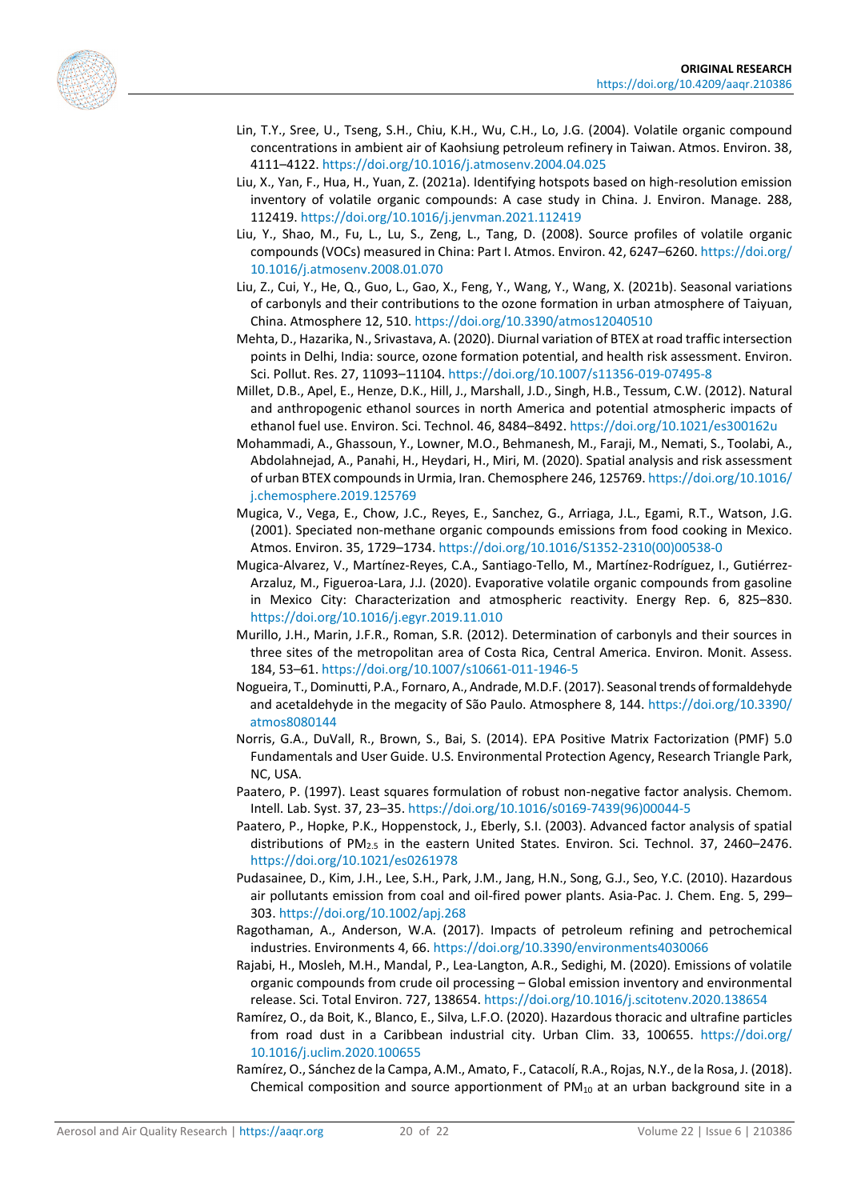<span id="page-19-15"></span><span id="page-19-11"></span><span id="page-19-0"></span>

- Lin, T.Y., Sree, U., Tseng, S.H., Chiu, K.H., Wu, C.H., Lo, J.G. (2004). Volatile organic compound concentrations in ambient air of Kaohsiung petroleum refinery in Taiwan. Atmos. Environ. 38, 4111–4122. <https://doi.org/10.1016/j.atmosenv.2004.04.025>
- Liu, X., Yan, F., Hua, H., Yuan, Z. (2021a). Identifying hotspots based on high-resolution emission inventory of volatile organic compounds: A case study in China. J. Environ. Manage. 288, 112419. <https://doi.org/10.1016/j.jenvman.2021.112419>
- Liu, Y., Shao, M., Fu, L., Lu, S., Zeng, L., Tang, D. (2008). Source profiles of volatile organic compounds (VOCs) measured in China: Part I. Atmos. Environ. 42, 6247–6260. [https://doi.org/](https://doi.org/10.1016/j.atmosenv.2008.01.070) [10.1016/j.atmosenv.2008.01.070](https://doi.org/10.1016/j.atmosenv.2008.01.070)
- <span id="page-19-8"></span>Liu, Z., Cui, Y., He, Q., Guo, L., Gao, X., Feng, Y., Wang, Y., Wang, X. (2021b). Seasonal variations of carbonyls and their contributions to the ozone formation in urban atmosphere of Taiyuan, China. Atmosphere 12, 510. <https://doi.org/10.3390/atmos12040510>
- <span id="page-19-18"></span>Mehta, D., Hazarika, N., Srivastava, A. (2020). Diurnal variation of BTEX at road traffic intersection points in Delhi, India: source, ozone formation potential, and health risk assessment. Environ. Sci. Pollut. Res. 27, 11093–11104. <https://doi.org/10.1007/s11356-019-07495-8>
- <span id="page-19-12"></span>Millet, D.B., Apel, E., Henze, D.K., Hill, J., Marshall, J.D., Singh, H.B., Tessum, C.W. (2012). Natural and anthropogenic ethanol sources in north America and potential atmospheric impacts of ethanol fuel use. Environ. Sci. Technol. 46, 8484–8492[. https://doi.org/10.1021/es300162u](https://doi.org/10.1021/es300162u)
- <span id="page-19-6"></span>Mohammadi, A., Ghassoun, Y., Lowner, M.O., Behmanesh, M., Faraji, M., Nemati, S., Toolabi, A., Abdolahnejad, A., Panahi, H., Heydari, H., Miri, M. (2020). Spatial analysis and risk assessment of urban BTEX compounds in Urmia, Iran. Chemosphere 246, 125769. [https://doi.org/10.1016/](https://doi.org/10.1016/j.chemosphere.2019.125769) [j.chemosphere.2019.125769](https://doi.org/10.1016/j.chemosphere.2019.125769)
- <span id="page-19-17"></span>Mugica, V., Vega, E., Chow, J.C., Reyes, E., Sanchez, G., Arriaga, J.L., Egami, R.T., Watson, J.G. (2001). Speciated non-methane organic compounds emissions from food cooking in Mexico. Atmos. Environ. 35, 1729–1734. [https://doi.org/10.1016/S1352-2310\(00\)00538-0](https://doi.org/10.1016/S1352-2310(00)00538-0)
- <span id="page-19-7"></span>Mugica-Alvarez, V., Martínez-Reyes, C.A., Santiago-Tello, M., Martínez-Rodríguez, I., Gutiérrez-Arzaluz, M., Figueroa-Lara, J.J. (2020). Evaporative volatile organic compounds from gasoline in Mexico City: Characterization and atmospheric reactivity. Energy Rep. 6, 825–830. <https://doi.org/10.1016/j.egyr.2019.11.010>
- <span id="page-19-9"></span>Murillo, J.H., Marin, J.F.R., Roman, S.R. (2012). Determination of carbonyls and their sources in three sites of the metropolitan area of Costa Rica, Central America. Environ. Monit. Assess. 184, 53–61. <https://doi.org/10.1007/s10661-011-1946-5>
- <span id="page-19-10"></span>Nogueira, T., Dominutti, P.A., Fornaro, A., Andrade, M.D.F. (2017). Seasonal trends of formaldehyde and acetaldehyde in the megacity of São Paulo. Atmosphere 8, 144[. https://doi.org/10.3390/](https://doi.org/10.3390/atmos8080144) [atmos8080144](https://doi.org/10.3390/atmos8080144)
- <span id="page-19-3"></span>Norris, G.A., DuVall, R., Brown, S., Bai, S. (2014). EPA Positive Matrix Factorization (PMF) 5.0 Fundamentals and User Guide. U.S. Environmental Protection Agency, Research Triangle Park, NC, USA.
- <span id="page-19-2"></span>Paatero, P. (1997). Least squares formulation of robust non-negative factor analysis. Chemom. Intell. Lab. Syst. 37, 23–35. [https://doi.org/10.1016/s0169-7439\(96\)00044-5](https://doi.org/10.1016/s0169-7439(96)00044-5)
- <span id="page-19-4"></span>Paatero, P., Hopke, P.K., Hoppenstock, J., Eberly, S.I. (2003). Advanced factor analysis of spatial distributions of PM<sub>2.5</sub> in the eastern United States. Environ. Sci. Technol. 37, 2460–2476. <https://doi.org/10.1021/es0261978>
- <span id="page-19-16"></span>Pudasainee, D., Kim, J.H., Lee, S.H., Park, J.M., Jang, H.N., Song, G.J., Seo, Y.C. (2010). Hazardous air pollutants emission from coal and oil-fired power plants. Asia-Pac. J. Chem. Eng. 5, 299– 303. <https://doi.org/10.1002/apj.268>
- <span id="page-19-13"></span>Ragothaman, A., Anderson, W.A. (2017). Impacts of petroleum refining and petrochemical industries. Environments 4, 66. <https://doi.org/10.3390/environments4030066>
- <span id="page-19-14"></span>Rajabi, H., Mosleh, M.H., Mandal, P., Lea-Langton, A.R., Sedighi, M. (2020). Emissions of volatile organic compounds from crude oil processing – Global emission inventory and environmental release. Sci. Total Environ. 727, 138654. <https://doi.org/10.1016/j.scitotenv.2020.138654>
- <span id="page-19-1"></span>Ramírez, O., da Boit, K., Blanco, E., Silva, L.F.O. (2020). Hazardous thoracic and ultrafine particles from road dust in a Caribbean industrial city. Urban Clim. 33, 100655. [https://doi.org/](https://doi.org/10.1016/j.uclim.2020.100655) [10.1016/j.uclim.2020.100655](https://doi.org/10.1016/j.uclim.2020.100655)
- <span id="page-19-5"></span>Ramírez, O., Sánchez de la Campa, A.M., Amato, F., Catacolí, R.A., Rojas, N.Y., de la Rosa, J. (2018). Chemical composition and source apportionment of  $PM_{10}$  at an urban background site in a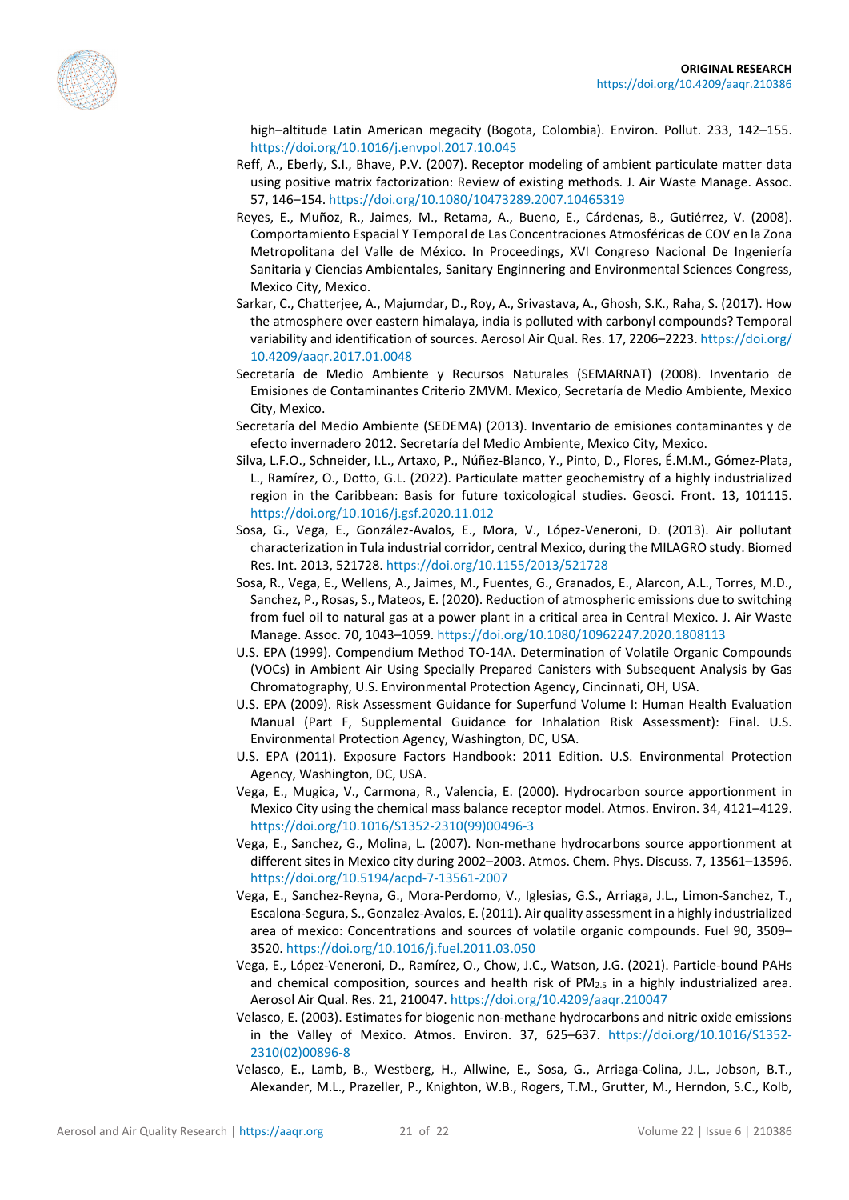<span id="page-20-9"></span><span id="page-20-8"></span>

high–altitude Latin American megacity (Bogota, Colombia). Environ. Pollut. 233, 142–155. <https://doi.org/10.1016/j.envpol.2017.10.045>

- Reff, A., Eberly, S.I., Bhave, P.V. (2007). Receptor modeling of ambient particulate matter data using positive matrix factorization: Review of existing methods. J. Air Waste Manage. Assoc. 57, 146–154.<https://doi.org/10.1080/10473289.2007.10465319>
- Reyes, E., Muñoz, R., Jaimes, M., Retama, A., Bueno, E., Cárdenas, B., Gutiérrez, V. (2008). Comportamiento Espacial Y Temporal de Las Concentraciones Atmosféricas de COV en la Zona Metropolitana del Valle de México. In Proceedings, XVI Congreso Nacional De Ingeniería Sanitaria y Ciencias Ambientales, Sanitary Enginnering and Environmental Sciences Congress, Mexico City, Mexico.
- <span id="page-20-13"></span>Sarkar, C., Chatterjee, A., Majumdar, D., Roy, A., Srivastava, A., Ghosh, S.K., Raha, S. (2017). How the atmosphere over eastern himalaya, india is polluted with carbonyl compounds? Temporal variability and identification of sources. Aerosol Air Qual. Res. 17, 2206–2223. [https://doi.org/](https://doi.org/10.4209/aaqr.2017.01.0048) [10.4209/aaqr.2017.01.0048](https://doi.org/10.4209/aaqr.2017.01.0048)
- <span id="page-20-15"></span>Secretaría de Medio Ambiente y Recursos Naturales (SEMARNAT) (2008). Inventario de Emisiones de Contaminantes Criterio ZMVM. Mexico, Secretaría de Medio Ambiente, Mexico City, Mexico.
- <span id="page-20-16"></span>Secretaría del Medio Ambiente (SEDEMA) (2013). Inventario de emisiones contaminantes y de efecto invernadero 2012. Secretaría del Medio Ambiente, Mexico City, Mexico.
- <span id="page-20-0"></span>Silva, L.F.O., Schneider, I.L., Artaxo, P., Núñez-Blanco, Y., Pinto, D., Flores, É.M.M., Gómez-Plata, L., Ramírez, O., Dotto, G.L. (2022). Particulate matter geochemistry of a highly industrialized region in the Caribbean: Basis for future toxicological studies. Geosci. Front. 13, 101115. <https://doi.org/10.1016/j.gsf.2020.11.012>
- <span id="page-20-3"></span>Sosa, G., Vega, E., González-Avalos, E., Mora, V., López-Veneroni, D. (2013). Air pollutant characterization in Tula industrial corridor, central Mexico, during the MILAGRO study. Biomed Res. Int. 2013, 521728.<https://doi.org/10.1155/2013/521728>
- <span id="page-20-4"></span>Sosa, R., Vega, E., Wellens, A., Jaimes, M., Fuentes, G., Granados, E., Alarcon, A.L., Torres, M.D., Sanchez, P., Rosas, S., Mateos, E. (2020). Reduction of atmospheric emissions due to switching from fuel oil to natural gas at a power plant in a critical area in Central Mexico. J. Air Waste Manage. Assoc. 70, 1043–1059[. https://doi.org/10.1080/10962247.2020.1808113](https://doi.org/10.1080/10962247.2020.1808113)
- <span id="page-20-7"></span>U.S. EPA (1999). Compendium Method TO-14A. Determination of Volatile Organic Compounds (VOCs) in Ambient Air Using Specially Prepared Canisters with Subsequent Analysis by Gas Chromatography, U.S. Environmental Protection Agency, Cincinnati, OH, USA.
- <span id="page-20-10"></span>U.S. EPA (2009). Risk Assessment Guidance for Superfund Volume I: Human Health Evaluation Manual (Part F, Supplemental Guidance for Inhalation Risk Assessment): Final. U.S. Environmental Protection Agency, Washington, DC, USA.
- <span id="page-20-11"></span>U.S. EPA (2011). Exposure Factors Handbook: 2011 Edition. U.S. Environmental Protection Agency, Washington, DC, USA.
- <span id="page-20-1"></span>Vega, E., Mugica, V., Carmona, R., Valencia, E. (2000). Hydrocarbon source apportionment in Mexico City using the chemical mass balance receptor model. Atmos. Environ. 34, 4121–4129. [https://doi.org/10.1016/S1352-2310\(99\)00496-3](https://doi.org/10.1016/S1352-2310(99)00496-3)
- <span id="page-20-12"></span>Vega, E., Sanchez, G., Molina, L. (2007). Non-methane hydrocarbons source apportionment at different sites in Mexico city during 2002–2003. Atmos. Chem. Phys. Discuss. 7, 13561–13596. <https://doi.org/10.5194/acpd-7-13561-2007>
- <span id="page-20-2"></span>Vega, E., Sanchez-Reyna, G., Mora-Perdomo, V., Iglesias, G.S., Arriaga, J.L., Limon-Sanchez, T., Escalona-Segura, S., Gonzalez-Avalos, E. (2011). Air quality assessment in a highly industrialized area of mexico: Concentrations and sources of volatile organic compounds. Fuel 90, 3509– 3520. <https://doi.org/10.1016/j.fuel.2011.03.050>
- <span id="page-20-5"></span>Vega, E., López-Veneroni, D., Ramírez, O., Chow, J.C., Watson, J.G. (2021). Particle-bound PAHs and chemical composition, sources and health risk of  $PM_{2.5}$  in a highly industrialized area. Aerosol Air Qual. Res. 21, 210047. <https://doi.org/10.4209/aaqr.210047>
- <span id="page-20-14"></span>Velasco, E. (2003). Estimates for biogenic non-methane hydrocarbons and nitric oxide emissions in the Valley of Mexico. Atmos. Environ. 37, 625–637. [https://doi.org/10.1016/S1352-](https://doi.org/10.1016/S1352-2310(02)00896-8) [2310\(02\)00896-8](https://doi.org/10.1016/S1352-2310(02)00896-8)
- <span id="page-20-6"></span>Velasco, E., Lamb, B., Westberg, H., Allwine, E., Sosa, G., Arriaga-Colina, J.L., Jobson, B.T., Alexander, M.L., Prazeller, P., Knighton, W.B., Rogers, T.M., Grutter, M., Herndon, S.C., Kolb,